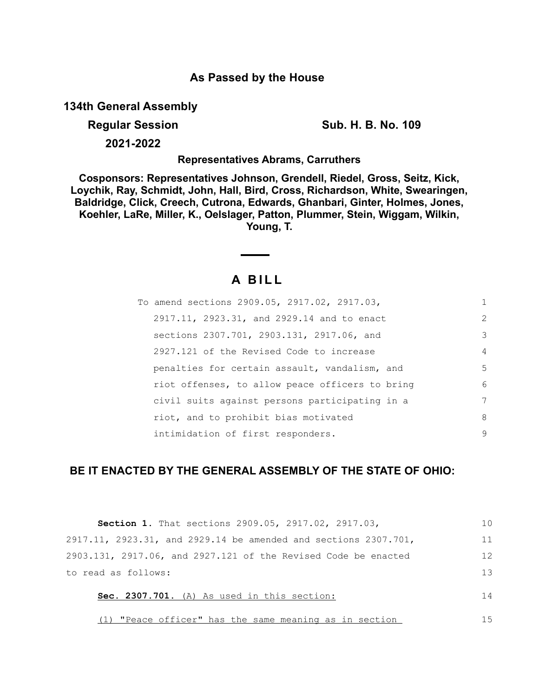# **As Passed by the House**

**134th General Assembly**

**Regular Session Sub. H. B. No. 109**

**2021-2022**

**Representatives Abrams, Carruthers**

**Cosponsors: Representatives Johnson, Grendell, Riedel, Gross, Seitz, Kick, Loychik, Ray, Schmidt, John, Hall, Bird, Cross, Richardson, White, Swearingen, Baldridge, Click, Creech, Cutrona, Edwards, Ghanbari, Ginter, Holmes, Jones, Koehler, LaRe, Miller, K., Oelslager, Patton, Plummer, Stein, Wiggam, Wilkin, Young, T.**

# **A B I L L**

<u> Albanya di Ba</u>

| To amend sections 2909.05, 2917.02, 2917.03,    | 1 |
|-------------------------------------------------|---|
| 2917.11, 2923.31, and 2929.14 and to enact      | 2 |
| sections 2307.701, 2903.131, 2917.06, and       | 3 |
| 2927.121 of the Revised Code to increase        | 4 |
| penalties for certain assault, vandalism, and   | 5 |
| riot offenses, to allow peace officers to bring | 6 |
| civil suits against persons participating in a  | 7 |
| riot, and to prohibit bias motivated            | 8 |
| intimidation of first responders.               | 9 |

# **BE IT ENACTED BY THE GENERAL ASSEMBLY OF THE STATE OF OHIO:**

| Section 1. That sections 2909.05, 2917.02, 2917.03,                        | 1 <sub>0</sub> |
|----------------------------------------------------------------------------|----------------|
| $2917.11$ , $2923.31$ , and $2929.14$ be amended and sections $2307.701$ , | 11             |
| 2903.131, 2917.06, and 2927.121 of the Revised Code be enacted             | 12             |
| to read as follows:                                                        | 13             |
| Sec. 2307.701. (A) As used in this section:                                | 14             |
| (1) "Peace officer" has the same meaning as in section                     | 15             |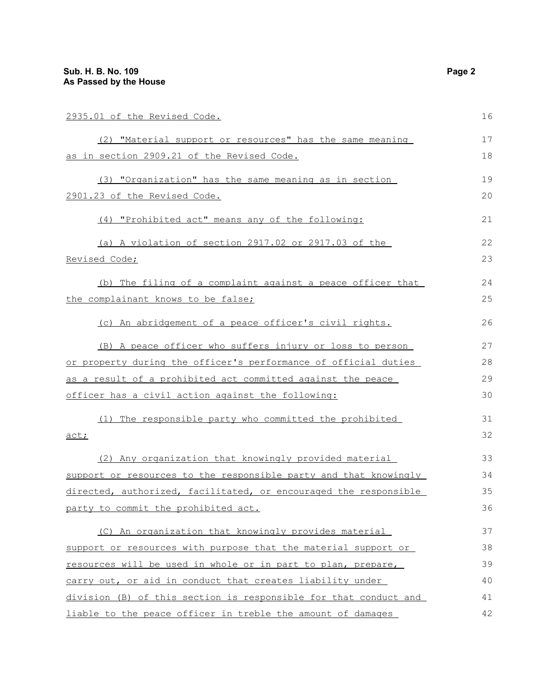| 2935.01 of the Revised Code.                                     | 16 |
|------------------------------------------------------------------|----|
| (2) "Material support or resources" has the same meaning         | 17 |
| <u>as in section 2909.21 of the Revised Code.</u>                | 18 |
| (3) "Organization" has the same meaning as in section            | 19 |
| 2901.23 of the Revised Code.                                     | 20 |
| (4) "Prohibited act" means any of the following:                 | 21 |
| (a) A violation of section 2917.02 or 2917.03 of the             | 22 |
| <u>Revised Code;</u>                                             | 23 |
| (b) The filing of a complaint against a peace officer that       | 24 |
| the complainant knows to be false;                               | 25 |
| (c) An abridgement of a peace officer's civil rights.            | 26 |
| (B) A peace officer who suffers injury or loss to person         | 27 |
| or property during the officer's performance of official duties  | 28 |
| as a result of a prohibited act committed against the peace      | 29 |
| officer has a civil action against the following:                | 30 |
| The responsible party who committed the prohibited<br>(1)        | 31 |
| act;                                                             | 32 |
| (2) Any organization that knowingly provided material            | 33 |
| support or resources to the responsible party and that knowingly | 34 |
| directed, authorized, facilitated, or encouraged the responsible | 35 |
| <u>party to commit the prohibited act.</u>                       | 36 |
| (C) An organization that knowingly provides material             | 37 |
| support or resources with purpose that the material support or   | 38 |
| resources will be used in whole or in part to plan, prepare,     | 39 |
| carry out, or aid in conduct that creates liability under        | 40 |
| division (B) of this section is responsible for that conduct and | 41 |
| liable to the peace officer in treble the amount of damages      | 42 |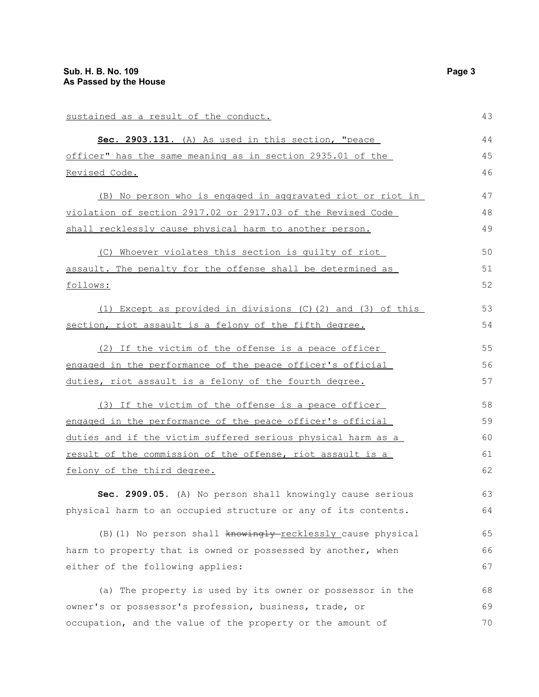| sustained as a result of the conduct.                          | 43 |
|----------------------------------------------------------------|----|
| Sec. 2903.131. (A) As used in this section, "peace             | 44 |
| officer" has the same meaning as in section 2935.01 of the     | 45 |
| Revised Code.                                                  | 46 |
| (B) No person who is engaged in aggravated riot or riot in     | 47 |
| violation of section 2917.02 or 2917.03 of the Revised Code    | 48 |
| shall recklessly cause physical harm to another person.        | 49 |
| (C) Whoever violates this section is quilty of riot            | 50 |
| assault. The penalty for the offense shall be determined as    | 51 |
| follows:                                                       | 52 |
| (1) Except as provided in divisions (C)(2) and (3) of this     | 53 |
| section, riot assault is a felony of the fifth degree.         | 54 |
| (2) If the victim of the offense is a peace officer            | 55 |
| engaged in the performance of the peace officer's official     | 56 |
| duties, riot assault is a felony of the fourth degree.         | 57 |
| (3) If the victim of the offense is a peace officer            | 58 |
| engaged in the performance of the peace officer's official     | 59 |
| duties and if the victim suffered serious physical harm as a   | 60 |
| result of the commission of the offense, riot assault is a     | 61 |
| felony of the third degree.                                    | 62 |
| Sec. 2909.05. (A) No person shall knowingly cause serious      | 63 |
| physical harm to an occupied structure or any of its contents. | 64 |
| (B) (1) No person shall knowingly-recklessly cause physical    | 65 |
| harm to property that is owned or possessed by another, when   | 66 |
| either of the following applies:                               | 67 |
| (a) The property is used by its owner or possessor in the      | 68 |
| owner's or possessor's profession, business, trade, or         | 69 |
| occupation, and the value of the property or the amount of     | 70 |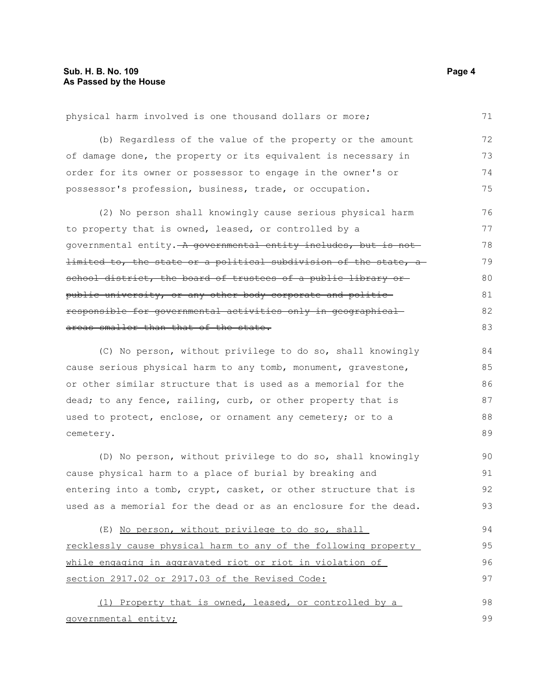physical harm involved is one thousand dollars or more; (b) Regardless of the value of the property or the amount of damage done, the property or its equivalent is necessary in order for its owner or possessor to engage in the owner's or possessor's profession, business, trade, or occupation. (2) No person shall knowingly cause serious physical harm to property that is owned, leased, or controlled by a governmental entity. A governmental entity includes, but is not limited to, the state or a political subdivision of the state, a school district, the board of trustees of a public library orpublic university, or any other body corporate and politic responsible for governmental activities only in geographical areas smaller than that of the state. (C) No person, without privilege to do so, shall knowingly cause serious physical harm to any tomb, monument, gravestone, or other similar structure that is used as a memorial for the dead; to any fence, railing, curb, or other property that is used to protect, enclose, or ornament any cemetery; or to a cemetery. (D) No person, without privilege to do so, shall knowingly cause physical harm to a place of burial by breaking and entering into a tomb, crypt, casket, or other structure that is 71 72 73 74 75 76 77 78 79 80 81 82 83 84 85 86 87 88 89 90 91 92

(E) No person, without privilege to do so, shall recklessly cause physical harm to any of the following property while engaging in aggravated riot or riot in violation of section 2917.02 or 2917.03 of the Revised Code: 94 95 96 97

used as a memorial for the dead or as an enclosure for the dead.

(1) Property that is owned, leased, or controlled by a governmental entity; 98 99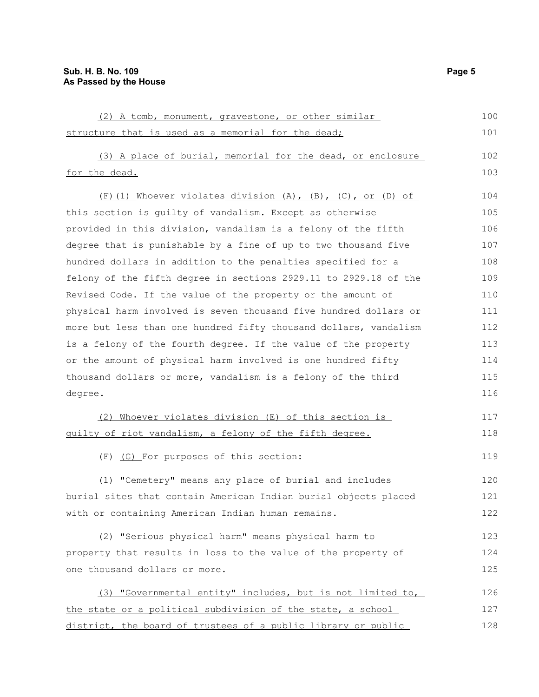| (2) A tomb, monument, gravestone, or other similar                      | 100 |
|-------------------------------------------------------------------------|-----|
| structure that is used as a memorial for the dead;                      | 101 |
| (3) A place of burial, memorial for the dead, or enclosure              | 102 |
| for the dead.                                                           | 103 |
| $(F)$ (1) Whoever violates division $(A)$ , $(B)$ , $(C)$ , or $(D)$ of | 104 |
| this section is quilty of vandalism. Except as otherwise                | 105 |
| provided in this division, vandalism is a felony of the fifth           | 106 |
| degree that is punishable by a fine of up to two thousand five          | 107 |
| hundred dollars in addition to the penalties specified for a            | 108 |
| felony of the fifth degree in sections 2929.11 to 2929.18 of the        | 109 |
| Revised Code. If the value of the property or the amount of             | 110 |
| physical harm involved is seven thousand five hundred dollars or        | 111 |
| more but less than one hundred fifty thousand dollars, vandalism        | 112 |
| is a felony of the fourth degree. If the value of the property          | 113 |
| or the amount of physical harm involved is one hundred fifty            | 114 |
| thousand dollars or more, vandalism is a felony of the third            | 115 |
| degree.                                                                 | 116 |
| (2) Whoever violates division (E) of this section is                    | 117 |
| guilty of riot vandalism, a felony of the fifth degree.                 | 118 |
| (F) (G) For purposes of this section:                                   | 119 |
| (1) "Cemetery" means any place of burial and includes                   | 120 |
| burial sites that contain American Indian burial objects placed         | 121 |
| with or containing American Indian human remains.                       | 122 |
| (2) "Serious physical harm" means physical harm to                      | 123 |
| property that results in loss to the value of the property of           | 124 |
| one thousand dollars or more.                                           | 125 |
| (3) "Governmental entity" includes, but is not limited to,              | 126 |
| the state or a political subdivision of the state, a school             | 127 |
| district, the board of trustees of a public library or public           | 128 |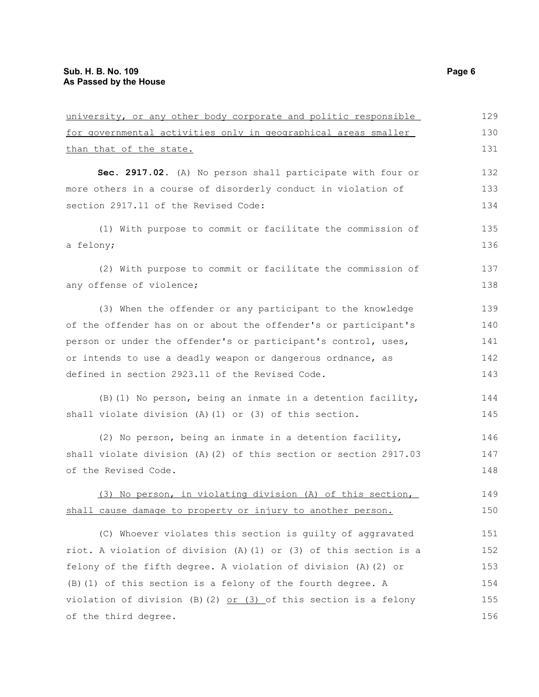| for governmental activities only in geographical areas smaller     | 130 |
|--------------------------------------------------------------------|-----|
| than that of the state.                                            | 131 |
| Sec. 2917.02. (A) No person shall participate with four or         | 132 |
| more others in a course of disorderly conduct in violation of      | 133 |
| section 2917.11 of the Revised Code:                               | 134 |
| (1) With purpose to commit or facilitate the commission of         | 135 |
| a felony;                                                          | 136 |
| (2) With purpose to commit or facilitate the commission of         | 137 |
| any offense of violence;                                           | 138 |
| (3) When the offender or any participant to the knowledge          | 139 |
| of the offender has on or about the offender's or participant's    | 140 |
| person or under the offender's or participant's control, uses,     | 141 |
| or intends to use a deadly weapon or dangerous ordnance, as        | 142 |
| defined in section 2923.11 of the Revised Code.                    | 143 |
| (B) (1) No person, being an inmate in a detention facility,        | 144 |
| shall violate division (A) (1) or (3) of this section.             | 145 |
| (2) No person, being an inmate in a detention facility,            | 146 |
| shall violate division (A)(2) of this section or section 2917.03   | 147 |
| of the Revised Code.                                               | 148 |
| (3) No person, in violating division (A) of this section,          | 149 |
| shall cause damage to property or injury to another person.        | 150 |
| (C) Whoever violates this section is guilty of aggravated          | 151 |
| riot. A violation of division (A) (1) or (3) of this section is a  | 152 |
| felony of the fifth degree. A violation of division (A) (2) or     | 153 |
| (B) (1) of this section is a felony of the fourth degree. A        | 154 |
| violation of division (B) (2) $or$ (3) of this section is a felony | 155 |
| of the third degree.                                               | 156 |

university, or any other body corporate and politic responsible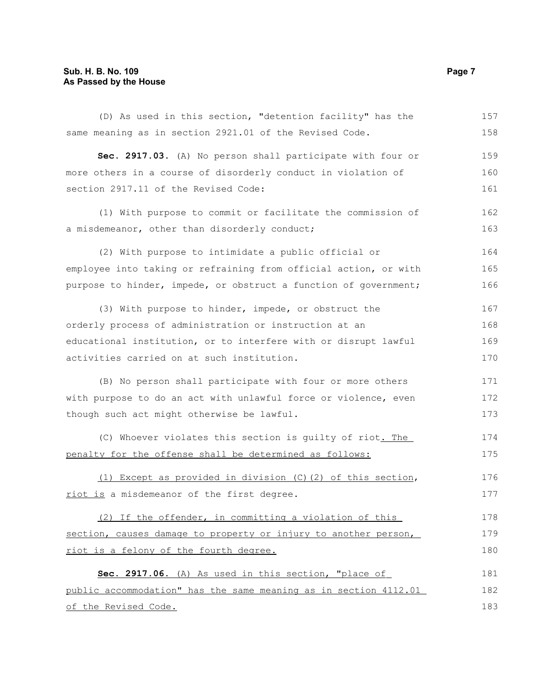# **Sub. H. B. No. 109 Page 7 As Passed by the House**

| (D) As used in this section, "detention facility" has the        | 157 |
|------------------------------------------------------------------|-----|
| same meaning as in section 2921.01 of the Revised Code.          | 158 |
| Sec. 2917.03. (A) No person shall participate with four or       | 159 |
| more others in a course of disorderly conduct in violation of    | 160 |
| section 2917.11 of the Revised Code:                             | 161 |
| (1) With purpose to commit or facilitate the commission of       | 162 |
| a misdemeanor, other than disorderly conduct;                    | 163 |
| (2) With purpose to intimidate a public official or              | 164 |
| employee into taking or refraining from official action, or with | 165 |
| purpose to hinder, impede, or obstruct a function of government; | 166 |
| (3) With purpose to hinder, impede, or obstruct the              | 167 |
| orderly process of administration or instruction at an           | 168 |
| educational institution, or to interfere with or disrupt lawful  | 169 |
| activities carried on at such institution.                       | 170 |
| (B) No person shall participate with four or more others         | 171 |
| with purpose to do an act with unlawful force or violence, even  | 172 |
| though such act might otherwise be lawful.                       | 173 |
| (C) Whoever violates this section is guilty of riot. The         | 174 |
| penalty for the offense shall be determined as follows:          | 175 |
| (1) Except as provided in division $(C)$ (2) of this section,    | 176 |
| riot is a misdemeanor of the first degree.                       | 177 |
| (2) If the offender, in committing a violation of this           | 178 |
| section, causes damage to property or injury to another person,  | 179 |
| riot is a felony of the fourth degree.                           | 180 |
| Sec. 2917.06. (A) As used in this section, "place of             | 181 |
| public accommodation" has the same meaning as in section 4112.01 | 182 |
| of the Revised Code.                                             | 183 |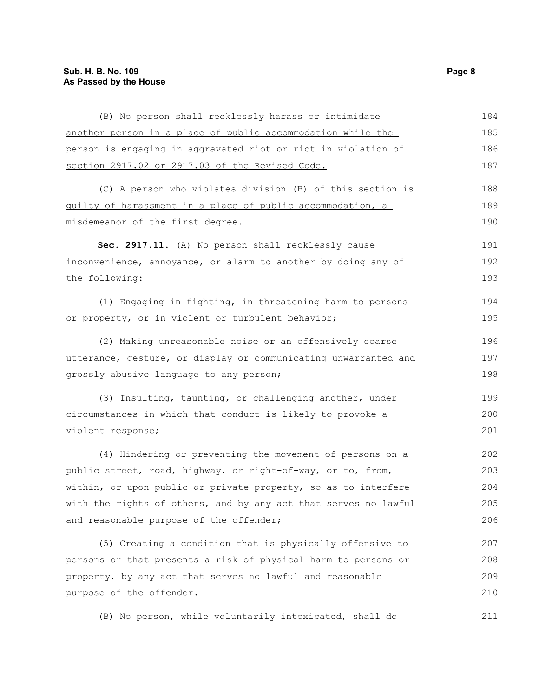| (B) No person shall recklessly harass or intimidate             | 184 |
|-----------------------------------------------------------------|-----|
| another person in a place of public accommodation while the     | 185 |
| person is engaging in aggravated riot or riot in violation of   | 186 |
| section 2917.02 or 2917.03 of the Revised Code.                 | 187 |
| (C) A person who violates division (B) of this section is       | 188 |
| guilty of harassment in a place of public accommodation, a      | 189 |
| misdemeanor of the first degree.                                | 190 |
| Sec. 2917.11. (A) No person shall recklessly cause              | 191 |
| inconvenience, annoyance, or alarm to another by doing any of   | 192 |
| the following:                                                  | 193 |
| (1) Engaging in fighting, in threatening harm to persons        | 194 |
| or property, or in violent or turbulent behavior;               | 195 |
| (2) Making unreasonable noise or an offensively coarse          | 196 |
| utterance, gesture, or display or communicating unwarranted and | 197 |
| grossly abusive language to any person;                         | 198 |
| (3) Insulting, taunting, or challenging another, under          | 199 |
| circumstances in which that conduct is likely to provoke a      | 200 |
| violent response;                                               | 201 |
| (4) Hindering or preventing the movement of persons on a        | 202 |
| public street, road, highway, or right-of-way, or to, from,     | 203 |
| within, or upon public or private property, so as to interfere  | 204 |
| with the rights of others, and by any act that serves no lawful | 205 |
| and reasonable purpose of the offender;                         | 206 |
| (5) Creating a condition that is physically offensive to        | 207 |
| persons or that presents a risk of physical harm to persons or  | 208 |
| property, by any act that serves no lawful and reasonable       | 209 |
| purpose of the offender.                                        | 210 |
| (B) No person, while voluntarily intoxicated, shall do          | 211 |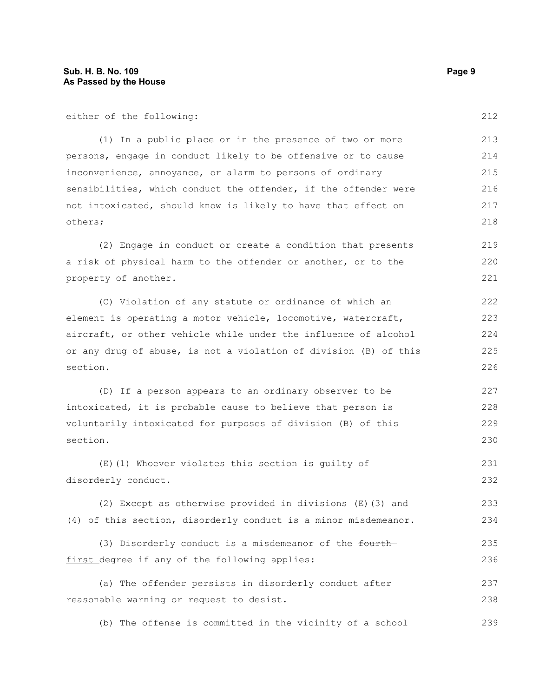either of the following:

(1) In a public place or in the presence of two or more persons, engage in conduct likely to be offensive or to cause inconvenience, annoyance, or alarm to persons of ordinary sensibilities, which conduct the offender, if the offender were not intoxicated, should know is likely to have that effect on others; 213 214 215 216 217 218

(2) Engage in conduct or create a condition that presents a risk of physical harm to the offender or another, or to the property of another. 219 220 221

(C) Violation of any statute or ordinance of which an element is operating a motor vehicle, locomotive, watercraft, aircraft, or other vehicle while under the influence of alcohol or any drug of abuse, is not a violation of division (B) of this section.

(D) If a person appears to an ordinary observer to be intoxicated, it is probable cause to believe that person is voluntarily intoxicated for purposes of division (B) of this section. 227 228 229 230

(E)(1) Whoever violates this section is guilty of disorderly conduct. 231 232

(2) Except as otherwise provided in divisions (E)(3) and (4) of this section, disorderly conduct is a minor misdemeanor. 233 234

```
(3) Disorderly conduct is a misdemeanor of the fourth-
first degree if any of the following applies:
                                                                            235
                                                                            236
```
(a) The offender persists in disorderly conduct after reasonable warning or request to desist. 237 238

(b) The offense is committed in the vicinity of a school 239

212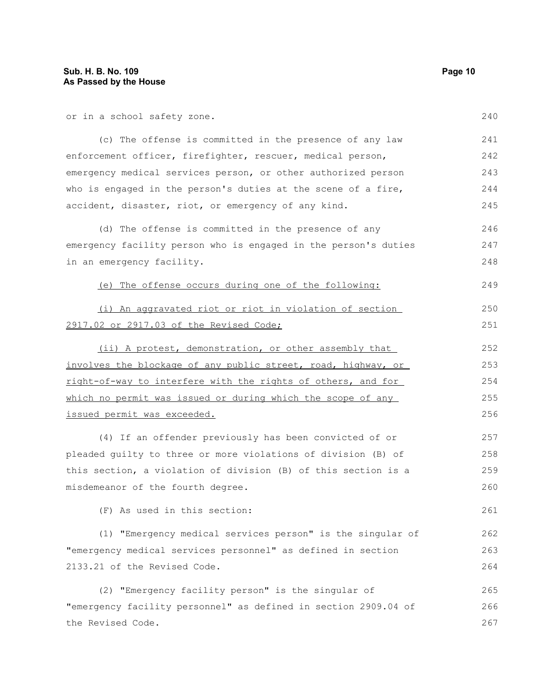| or in a school safety zone.                                                          | 240 |
|--------------------------------------------------------------------------------------|-----|
| (c) The offense is committed in the presence of any law                              | 241 |
| enforcement officer, firefighter, rescuer, medical person,                           | 242 |
| emergency medical services person, or other authorized person                        | 243 |
| who is engaged in the person's duties at the scene of a fire,                        | 244 |
| accident, disaster, riot, or emergency of any kind.                                  | 245 |
| (d) The offense is committed in the presence of any                                  | 246 |
| emergency facility person who is engaged in the person's duties                      | 247 |
| in an emergency facility.                                                            | 248 |
| (e) The offense occurs during one of the following:                                  | 249 |
| (i) An aggravated riot or riot in violation of section                               | 250 |
| 2917.02 or 2917.03 of the Revised Code;                                              | 251 |
| (ii) A protest, demonstration, or other assembly that                                | 252 |
|                                                                                      | 253 |
| involves the blockage of any public street, road, highway, or                        |     |
| right-of-way to interfere with the rights of others, and for                         | 254 |
| which no permit was issued or during which the scope of any                          | 255 |
| issued permit was exceeded.                                                          | 256 |
| (4) If an offender previously has been convicted of or                               | 257 |
| pleaded quilty to three or more violations of division (B) of                        | 258 |
| this section, a violation of division (B) of this section is a                       | 259 |
| misdemeanor of the fourth degree.                                                    | 260 |
| (F) As used in this section:                                                         | 261 |
| (1) "Emergency medical services person" is the singular of                           | 262 |
| "emergency medical services personnel" as defined in section                         | 263 |
| 2133.21 of the Revised Code.                                                         | 264 |
| (2) "Emergency facility person" is the singular of                                   | 265 |
| "emergency facility personnel" as defined in section 2909.04 of<br>the Revised Code. | 266 |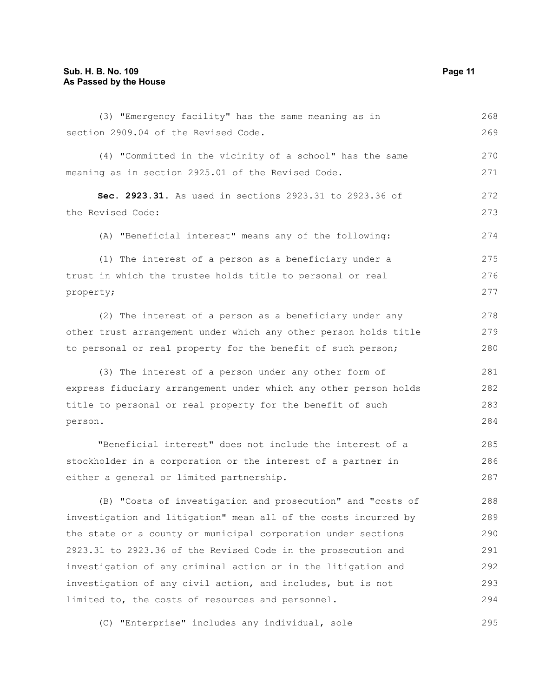| (3) "Emergency facility" has the same meaning as in              | 268 |
|------------------------------------------------------------------|-----|
| section 2909.04 of the Revised Code.                             | 269 |
| (4) "Committed in the vicinity of a school" has the same         | 270 |
| meaning as in section 2925.01 of the Revised Code.               | 271 |
| Sec. 2923.31. As used in sections 2923.31 to 2923.36 of          | 272 |
| the Revised Code:                                                | 273 |
| (A) "Beneficial interest" means any of the following:            | 274 |
| (1) The interest of a person as a beneficiary under a            | 275 |
| trust in which the trustee holds title to personal or real       | 276 |
| property;                                                        | 277 |
| (2) The interest of a person as a beneficiary under any          | 278 |
| other trust arrangement under which any other person holds title | 279 |
| to personal or real property for the benefit of such person;     | 280 |
| (3) The interest of a person under any other form of             | 281 |
| express fiduciary arrangement under which any other person holds | 282 |
| title to personal or real property for the benefit of such       | 283 |
| person.                                                          | 284 |
| "Beneficial interest" does not include the interest of a         | 285 |
| stockholder in a corporation or the interest of a partner in     | 286 |
| either a general or limited partnership.                         | 287 |
| (B) "Costs of investigation and prosecution" and "costs of       | 288 |
| investigation and litigation" mean all of the costs incurred by  | 289 |
| the state or a county or municipal corporation under sections    | 290 |
| 2923.31 to 2923.36 of the Revised Code in the prosecution and    | 291 |
| investigation of any criminal action or in the litigation and    | 292 |
| investigation of any civil action, and includes, but is not      | 293 |

(C) "Enterprise" includes any individual, sole 295

limited to, the costs of resources and personnel.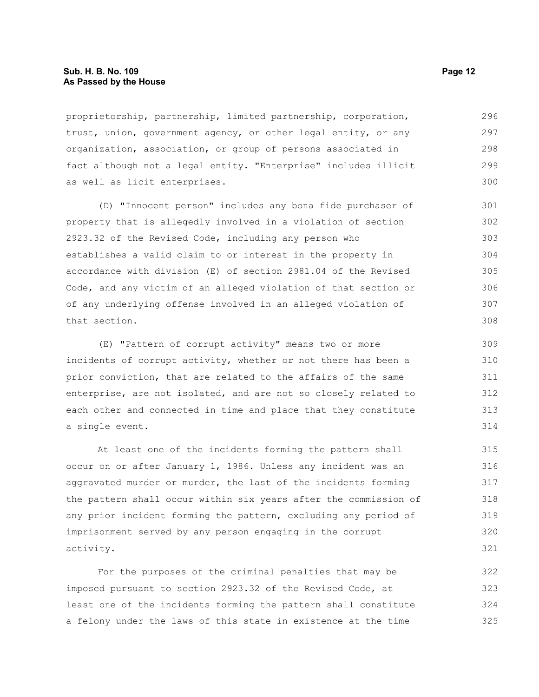# **Sub. H. B. No. 109 Page 12 As Passed by the House**

proprietorship, partnership, limited partnership, corporation, trust, union, government agency, or other legal entity, or any organization, association, or group of persons associated in fact although not a legal entity. "Enterprise" includes illicit as well as licit enterprises. 296 297 298 299 300

(D) "Innocent person" includes any bona fide purchaser of property that is allegedly involved in a violation of section 2923.32 of the Revised Code, including any person who establishes a valid claim to or interest in the property in accordance with division (E) of section 2981.04 of the Revised Code, and any victim of an alleged violation of that section or of any underlying offense involved in an alleged violation of that section.

(E) "Pattern of corrupt activity" means two or more incidents of corrupt activity, whether or not there has been a prior conviction, that are related to the affairs of the same enterprise, are not isolated, and are not so closely related to each other and connected in time and place that they constitute a single event.

At least one of the incidents forming the pattern shall occur on or after January 1, 1986. Unless any incident was an aggravated murder or murder, the last of the incidents forming the pattern shall occur within six years after the commission of any prior incident forming the pattern, excluding any period of imprisonment served by any person engaging in the corrupt activity.

For the purposes of the criminal penalties that may be imposed pursuant to section 2923.32 of the Revised Code, at least one of the incidents forming the pattern shall constitute a felony under the laws of this state in existence at the time 322 323 324 325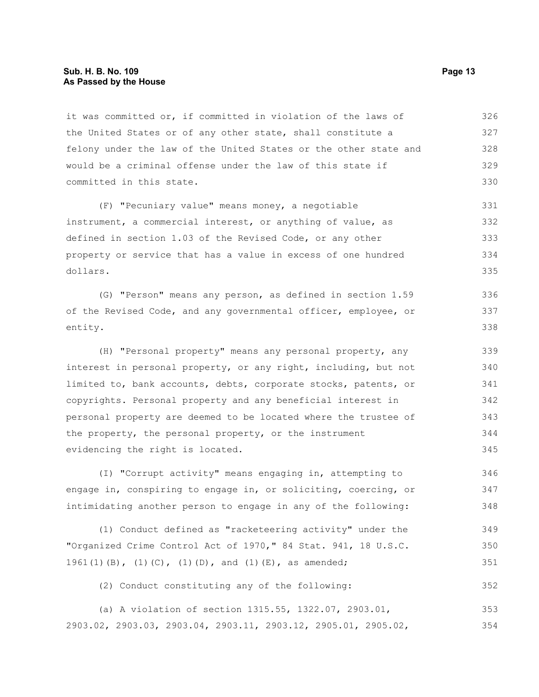## **Sub. H. B. No. 109 Page 13 As Passed by the House**

it was committed or, if committed in violation of the laws of the United States or of any other state, shall constitute a felony under the law of the United States or the other state and would be a criminal offense under the law of this state if committed in this state. 326 327 328 329 330

(F) "Pecuniary value" means money, a negotiable instrument, a commercial interest, or anything of value, as defined in section 1.03 of the Revised Code, or any other property or service that has a value in excess of one hundred dollars. 331 332 333 334 335

(G) "Person" means any person, as defined in section 1.59 of the Revised Code, and any governmental officer, employee, or entity. 336 337 338

(H) "Personal property" means any personal property, any interest in personal property, or any right, including, but not limited to, bank accounts, debts, corporate stocks, patents, or copyrights. Personal property and any beneficial interest in personal property are deemed to be located where the trustee of the property, the personal property, or the instrument evidencing the right is located. 339 340 341 342 343 344 345

(I) "Corrupt activity" means engaging in, attempting to engage in, conspiring to engage in, or soliciting, coercing, or intimidating another person to engage in any of the following: 346 347 348

(1) Conduct defined as "racketeering activity" under the "Organized Crime Control Act of 1970," 84 Stat. 941, 18 U.S.C. 1961(1)(B), (1)(C), (1)(D), and (1)(E), as amended; 349 350 351

(2) Conduct constituting any of the following:

(a) A violation of section 1315.55, 1322.07, 2903.01, 2903.02, 2903.03, 2903.04, 2903.11, 2903.12, 2905.01, 2905.02, 353 354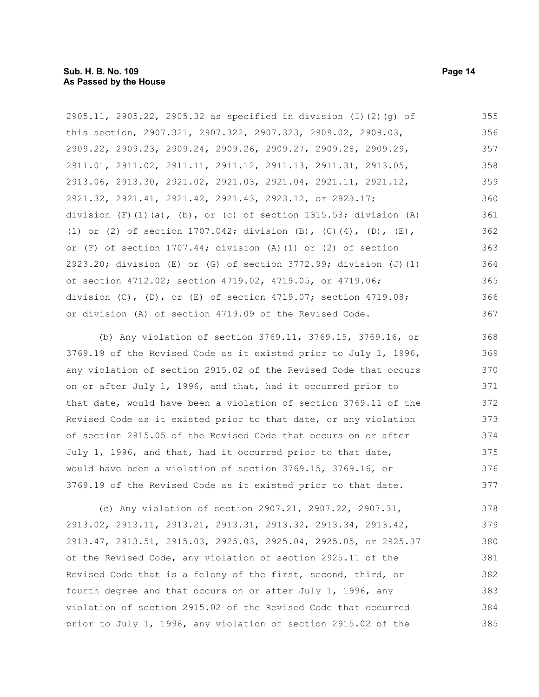2905.11, 2905.22, 2905.32 as specified in division (I)(2)(g) of this section, 2907.321, 2907.322, 2907.323, 2909.02, 2909.03, 2909.22, 2909.23, 2909.24, 2909.26, 2909.27, 2909.28, 2909.29, 2911.01, 2911.02, 2911.11, 2911.12, 2911.13, 2911.31, 2913.05, 2913.06, 2913.30, 2921.02, 2921.03, 2921.04, 2921.11, 2921.12, 2921.32, 2921.41, 2921.42, 2921.43, 2923.12, or 2923.17; division  $(F)$  (1)(a), (b), or (c) of section 1315.53; division (A) (1) or (2) of section 1707.042; division (B), (C)(4), (D), (E), or (F) of section 1707.44; division (A)(1) or (2) of section 2923.20; division (E) or (G) of section 3772.99; division (J)(1) of section 4712.02; section 4719.02, 4719.05, or 4719.06; division (C), (D), or (E) of section 4719.07; section 4719.08; or division (A) of section 4719.09 of the Revised Code. 355 356 357 358 359 360 361 362 363 364 365 366 367

(b) Any violation of section 3769.11, 3769.15, 3769.16, or 3769.19 of the Revised Code as it existed prior to July 1, 1996, any violation of section 2915.02 of the Revised Code that occurs on or after July 1, 1996, and that, had it occurred prior to that date, would have been a violation of section 3769.11 of the Revised Code as it existed prior to that date, or any violation of section 2915.05 of the Revised Code that occurs on or after July 1, 1996, and that, had it occurred prior to that date, would have been a violation of section 3769.15, 3769.16, or 3769.19 of the Revised Code as it existed prior to that date. 368 369 370 371 372 373 374 375 376 377

(c) Any violation of section 2907.21, 2907.22, 2907.31, 2913.02, 2913.11, 2913.21, 2913.31, 2913.32, 2913.34, 2913.42, 2913.47, 2913.51, 2915.03, 2925.03, 2925.04, 2925.05, or 2925.37 of the Revised Code, any violation of section 2925.11 of the Revised Code that is a felony of the first, second, third, or fourth degree and that occurs on or after July 1, 1996, any violation of section 2915.02 of the Revised Code that occurred prior to July 1, 1996, any violation of section 2915.02 of the 378 379 380 381 382 383 384 385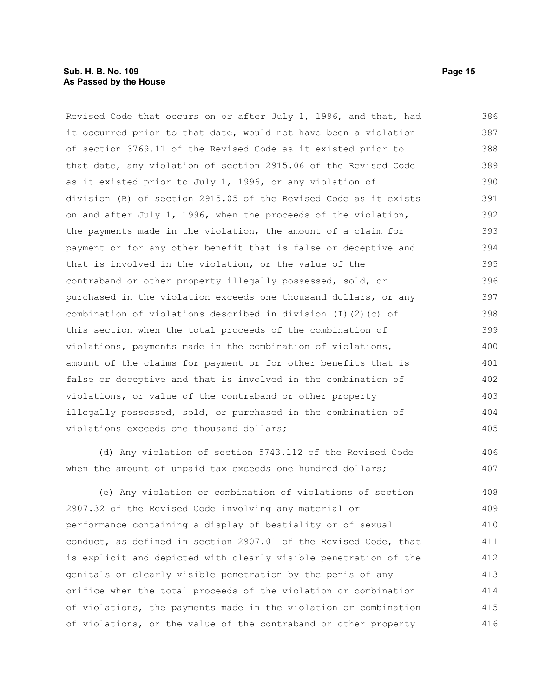# **Sub. H. B. No. 109 Page 15 As Passed by the House**

Revised Code that occurs on or after July 1, 1996, and that, had it occurred prior to that date, would not have been a violation of section 3769.11 of the Revised Code as it existed prior to that date, any violation of section 2915.06 of the Revised Code as it existed prior to July 1, 1996, or any violation of division (B) of section 2915.05 of the Revised Code as it exists on and after July 1, 1996, when the proceeds of the violation, the payments made in the violation, the amount of a claim for payment or for any other benefit that is false or deceptive and that is involved in the violation, or the value of the contraband or other property illegally possessed, sold, or purchased in the violation exceeds one thousand dollars, or any combination of violations described in division (I)(2)(c) of this section when the total proceeds of the combination of violations, payments made in the combination of violations, amount of the claims for payment or for other benefits that is false or deceptive and that is involved in the combination of violations, or value of the contraband or other property illegally possessed, sold, or purchased in the combination of violations exceeds one thousand dollars; 386 387 388 389 390 391 392 393 394 395 396 397 398 399 400 401 402 403 404 405

(d) Any violation of section 5743.112 of the Revised Code when the amount of unpaid tax exceeds one hundred dollars; 406 407

(e) Any violation or combination of violations of section 2907.32 of the Revised Code involving any material or performance containing a display of bestiality or of sexual conduct, as defined in section 2907.01 of the Revised Code, that is explicit and depicted with clearly visible penetration of the genitals or clearly visible penetration by the penis of any orifice when the total proceeds of the violation or combination of violations, the payments made in the violation or combination of violations, or the value of the contraband or other property 408 409 410 411 412 413 414 415 416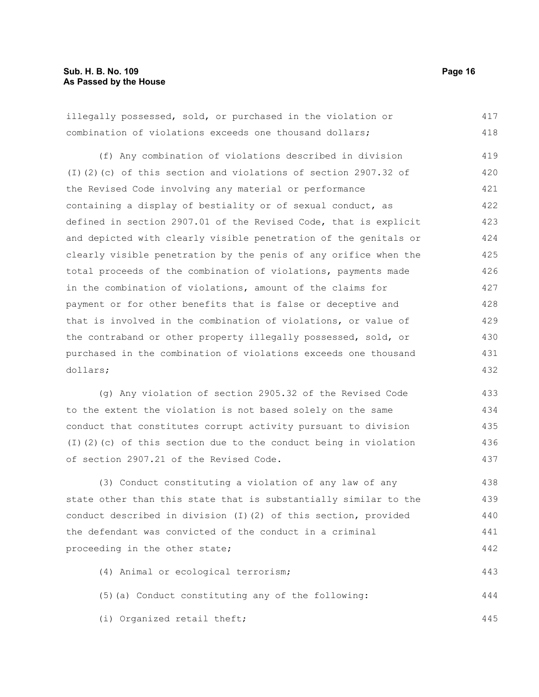445

illegally possessed, sold, or purchased in the violation or combination of violations exceeds one thousand dollars; (f) Any combination of violations described in division (I)(2)(c) of this section and violations of section 2907.32 of the Revised Code involving any material or performance containing a display of bestiality or of sexual conduct, as defined in section 2907.01 of the Revised Code, that is explicit and depicted with clearly visible penetration of the genitals or clearly visible penetration by the penis of any orifice when the total proceeds of the combination of violations, payments made in the combination of violations, amount of the claims for payment or for other benefits that is false or deceptive and that is involved in the combination of violations, or value of the contraband or other property illegally possessed, sold, or purchased in the combination of violations exceeds one thousand dollars; (g) Any violation of section 2905.32 of the Revised Code to the extent the violation is not based solely on the same conduct that constitutes corrupt activity pursuant to division (I)(2)(c) of this section due to the conduct being in violation of section 2907.21 of the Revised Code. (3) Conduct constituting a violation of any law of any state other than this state that is substantially similar to the conduct described in division (I)(2) of this section, provided the defendant was convicted of the conduct in a criminal proceeding in the other state; (4) Animal or ecological terrorism; (5)(a) Conduct constituting any of the following: 417 418 419 420 421 422 423 424 425 426 427 428 429 430 431 432 433 434 435 436 437 438 439 440 441 442 443 444

(i) Organized retail theft;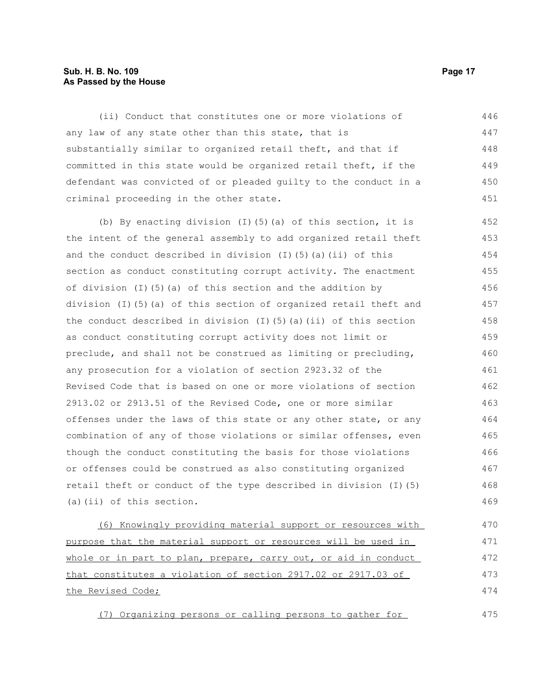# **Sub. H. B. No. 109 Page 17 As Passed by the House**

(ii) Conduct that constitutes one or more violations of any law of any state other than this state, that is substantially similar to organized retail theft, and that if committed in this state would be organized retail theft, if the defendant was convicted of or pleaded guilty to the conduct in a criminal proceeding in the other state. 446 447 448 449 450 451

(b) By enacting division  $(I)$  (5)(a) of this section, it is the intent of the general assembly to add organized retail theft and the conduct described in division  $(I)$  (5)(a)(ii) of this section as conduct constituting corrupt activity. The enactment of division (I)(5)(a) of this section and the addition by division (I)(5)(a) of this section of organized retail theft and the conduct described in division  $(I)(5)(a)(ii)$  of this section as conduct constituting corrupt activity does not limit or preclude, and shall not be construed as limiting or precluding, any prosecution for a violation of section 2923.32 of the Revised Code that is based on one or more violations of section 2913.02 or 2913.51 of the Revised Code, one or more similar offenses under the laws of this state or any other state, or any combination of any of those violations or similar offenses, even though the conduct constituting the basis for those violations or offenses could be construed as also constituting organized retail theft or conduct of the type described in division (I)(5) (a)(ii) of this section. 452 453 454 455 456 457 458 459 460 461 462 463 464 465 466 467 468 469

(6) Knowingly providing material support or resources with purpose that the material support or resources will be used in whole or in part to plan, prepare, carry out, or aid in conduct that constitutes a violation of section 2917.02 or 2917.03 of the Revised Code; 470 471 472 473 474

(7) Organizing persons or calling persons to gather for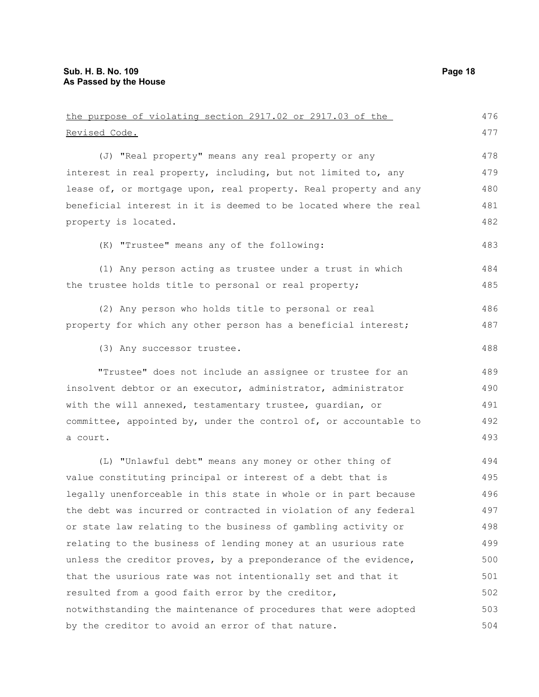| the purpose of violating section 2917.02 or 2917.03 of the       | 476 |
|------------------------------------------------------------------|-----|
| Revised Code.                                                    | 477 |
| (J) "Real property" means any real property or any               | 478 |
| interest in real property, including, but not limited to, any    | 479 |
| lease of, or mortgage upon, real property. Real property and any | 480 |
| beneficial interest in it is deemed to be located where the real | 481 |
| property is located.                                             | 482 |
| (K) "Trustee" means any of the following:                        | 483 |
| (1) Any person acting as trustee under a trust in which          | 484 |
| the trustee holds title to personal or real property;            | 485 |
| (2) Any person who holds title to personal or real               | 486 |
| property for which any other person has a beneficial interest;   | 487 |
| (3) Any successor trustee.                                       | 488 |
| "Trustee" does not include an assignee or trustee for an         | 489 |
| insolvent debtor or an executor, administrator, administrator    | 490 |
| with the will annexed, testamentary trustee, quardian, or        | 491 |
| committee, appointed by, under the control of, or accountable to | 492 |
| a court.                                                         | 493 |
| (L) "Unlawful debt" means any money or other thing of            | 494 |
| value constituting principal or interest of a debt that is       | 495 |
| legally unenforceable in this state in whole or in part because  | 496 |
| the debt was incurred or contracted in violation of any federal  | 497 |
| or state law relating to the business of gambling activity or    | 498 |
| relating to the business of lending money at an usurious rate    | 499 |
| unless the creditor proves, by a preponderance of the evidence,  | 500 |
| that the usurious rate was not intentionally set and that it     | 501 |
| resulted from a good faith error by the creditor,                | 502 |
| notwithstanding the maintenance of procedures that were adopted  | 503 |
| by the creditor to avoid an error of that nature.                | 504 |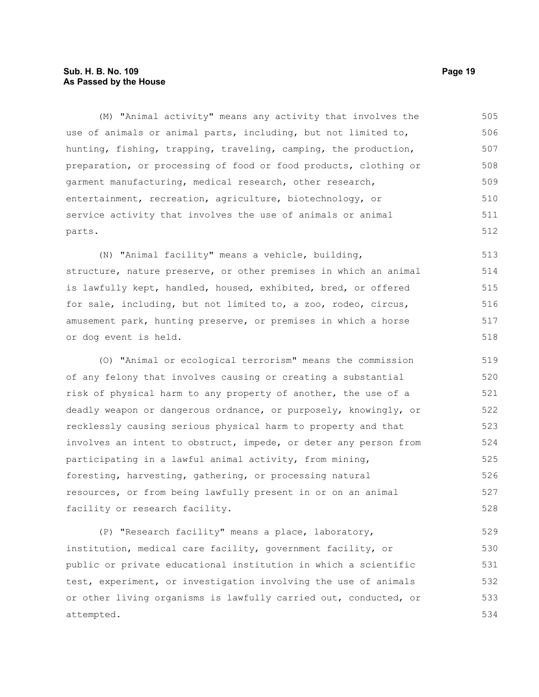# **Sub. H. B. No. 109 Page 19 As Passed by the House**

(M) "Animal activity" means any activity that involves the use of animals or animal parts, including, but not limited to, hunting, fishing, trapping, traveling, camping, the production, preparation, or processing of food or food products, clothing or garment manufacturing, medical research, other research, entertainment, recreation, agriculture, biotechnology, or service activity that involves the use of animals or animal parts. 505 506 507 508 509 510 511 512

(N) "Animal facility" means a vehicle, building, structure, nature preserve, or other premises in which an animal is lawfully kept, handled, housed, exhibited, bred, or offered for sale, including, but not limited to, a zoo, rodeo, circus, amusement park, hunting preserve, or premises in which a horse or dog event is held. 513 514 515 516 517 518

(O) "Animal or ecological terrorism" means the commission of any felony that involves causing or creating a substantial risk of physical harm to any property of another, the use of a deadly weapon or dangerous ordnance, or purposely, knowingly, or recklessly causing serious physical harm to property and that involves an intent to obstruct, impede, or deter any person from participating in a lawful animal activity, from mining, foresting, harvesting, gathering, or processing natural resources, or from being lawfully present in or on an animal facility or research facility. 519 520 521 522 523 524 525 526 527 528

(P) "Research facility" means a place, laboratory, institution, medical care facility, government facility, or public or private educational institution in which a scientific test, experiment, or investigation involving the use of animals or other living organisms is lawfully carried out, conducted, or attempted. 529 530 531 532 533 534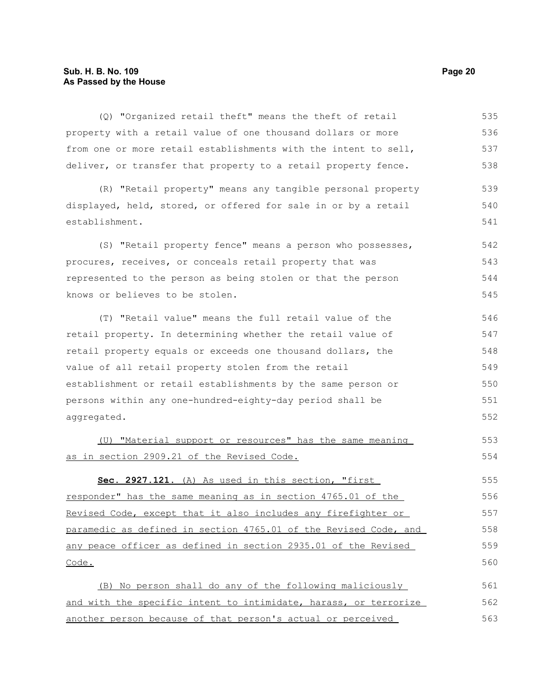# **Sub. H. B. No. 109 Page 20 As Passed by the House**

| (Q) "Organized retail theft" means the theft of retail           | 535 |
|------------------------------------------------------------------|-----|
| property with a retail value of one thousand dollars or more     | 536 |
| from one or more retail establishments with the intent to sell,  | 537 |
| deliver, or transfer that property to a retail property fence.   | 538 |
| (R) "Retail property" means any tangible personal property       | 539 |
| displayed, held, stored, or offered for sale in or by a retail   | 540 |
| establishment.                                                   | 541 |
| (S) "Retail property fence" means a person who possesses,        | 542 |
| procures, receives, or conceals retail property that was         | 543 |
| represented to the person as being stolen or that the person     | 544 |
| knows or believes to be stolen.                                  | 545 |
| (T) "Retail value" means the full retail value of the            | 546 |
| retail property. In determining whether the retail value of      | 547 |
| retail property equals or exceeds one thousand dollars, the      | 548 |
| value of all retail property stolen from the retail              | 549 |
| establishment or retail establishments by the same person or     | 550 |
| persons within any one-hundred-eighty-day period shall be        | 551 |
| aggregated.                                                      | 552 |
| (U) "Material support or resources" has the same meaning         | 553 |
| as in section 2909.21 of the Revised Code.                       | 554 |
| Sec. 2927.121. (A) As used in this section, "first               | 555 |
| responder" has the same meaning as in section 4765.01 of the     | 556 |
| Revised Code, except that it also includes any firefighter or    | 557 |
| paramedic as defined in section 4765.01 of the Revised Code, and | 558 |
| any peace officer as defined in section 2935.01 of the Revised   | 559 |
| Code.                                                            | 560 |
| (B) No person shall do any of the following maliciously          | 561 |
| and with the specific intent to intimidate, harass, or terrorize | 562 |
| another person because of that person's actual or perceived      | 563 |
|                                                                  |     |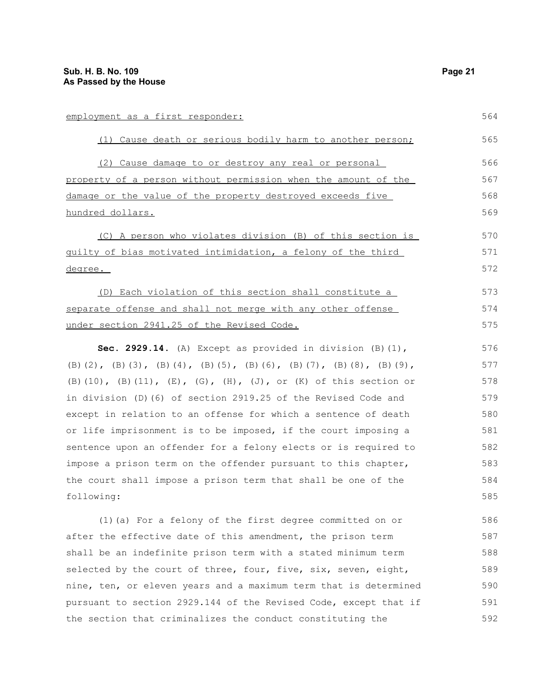| employment as a first responder:                                                    | 564 |
|-------------------------------------------------------------------------------------|-----|
| (1) Cause death or serious bodily harm to another person;                           | 565 |
| (2) Cause damage to or destroy any real or personal                                 | 566 |
| property of a person without permission when the amount of the                      | 567 |
| damage or the value of the property destroyed exceeds five                          | 568 |
| hundred dollars.                                                                    | 569 |
| (C) A person who violates division (B) of this section is                           | 570 |
| guilty of bias motivated intimidation, a felony of the third                        | 571 |
| degree.                                                                             | 572 |
| (D) Each violation of this section shall constitute a                               | 573 |
| separate offense and shall not merge with any other offense                         | 574 |
| under section 2941.25 of the Revised Code.                                          | 575 |
| Sec. 2929.14. (A) Except as provided in division $(B)$ (1),                         | 576 |
| (B) (2), (B) (3), (B) (4), (B) (5), (B) (6), (B) (7), (B) (8), (B) (9),             | 577 |
| $(B)$ (10), $(B)$ (11), $(E)$ , $(G)$ , $(H)$ , $(J)$ , or $(K)$ of this section or | 578 |
| in division (D) (6) of section 2919.25 of the Revised Code and                      | 579 |
| except in relation to an offense for which a sentence of death                      | 580 |
| or life imprisonment is to be imposed, if the court imposing a                      | 581 |
| sentence upon an offender for a felony elects or is required to                     | 582 |
| impose a prison term on the offender pursuant to this chapter,                      | 583 |
| the court shall impose a prison term that shall be one of the                       | 584 |
| following:                                                                          | 585 |
| (1) (a) For a felony of the first degree committed on or                            | 586 |
| after the effective date of this amendment, the prison term                         | 587 |
| shall be an indefinite prison term with a stated minimum term                       | 588 |
| selected by the court of three, four, five, six, seven, eight,                      | 589 |
| nine, ten, or eleven years and a maximum term that is determined                    | 590 |

pursuant to section 2929.144 of the Revised Code, except that if

the section that criminalizes the conduct constituting the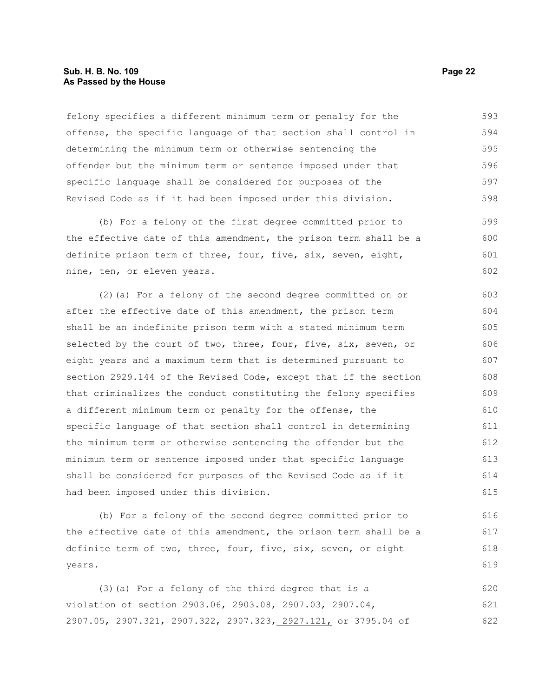# **Sub. H. B. No. 109 Page 22 As Passed by the House**

felony specifies a different minimum term or penalty for the offense, the specific language of that section shall control in determining the minimum term or otherwise sentencing the offender but the minimum term or sentence imposed under that specific language shall be considered for purposes of the Revised Code as if it had been imposed under this division. 593 594 595 596 597 598

(b) For a felony of the first degree committed prior to the effective date of this amendment, the prison term shall be a definite prison term of three, four, five, six, seven, eight, nine, ten, or eleven years. 599 600 601 602

(2)(a) For a felony of the second degree committed on or after the effective date of this amendment, the prison term shall be an indefinite prison term with a stated minimum term selected by the court of two, three, four, five, six, seven, or eight years and a maximum term that is determined pursuant to section 2929.144 of the Revised Code, except that if the section that criminalizes the conduct constituting the felony specifies a different minimum term or penalty for the offense, the specific language of that section shall control in determining the minimum term or otherwise sentencing the offender but the minimum term or sentence imposed under that specific language shall be considered for purposes of the Revised Code as if it had been imposed under this division. 603 604 605 606 607 608 609 610 611 612 613 614 615

(b) For a felony of the second degree committed prior to the effective date of this amendment, the prison term shall be a definite term of two, three, four, five, six, seven, or eight years.

(3)(a) For a felony of the third degree that is a violation of section 2903.06, 2903.08, 2907.03, 2907.04, 2907.05, 2907.321, 2907.322, 2907.323, 2927.121, or 3795.04 of 620 621 622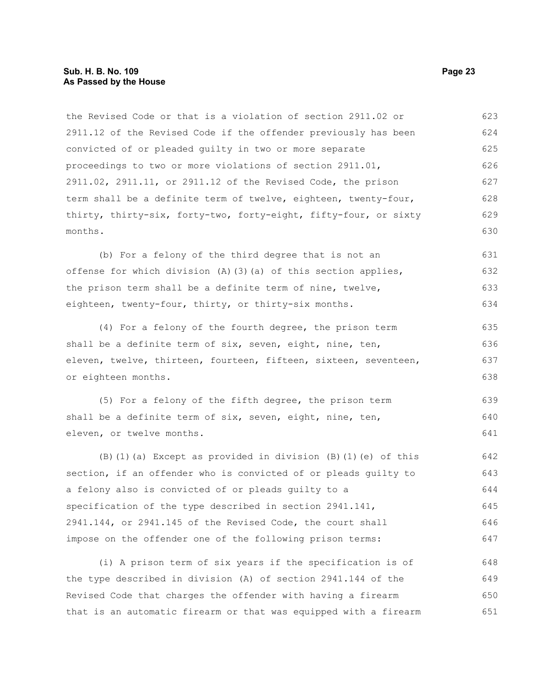# **Sub. H. B. No. 109 Page 23 As Passed by the House**

the Revised Code or that is a violation of section 2911.02 or 2911.12 of the Revised Code if the offender previously has been convicted of or pleaded guilty in two or more separate proceedings to two or more violations of section 2911.01, 2911.02, 2911.11, or 2911.12 of the Revised Code, the prison term shall be a definite term of twelve, eighteen, twenty-four, thirty, thirty-six, forty-two, forty-eight, fifty-four, or sixty months. 623 624 625 626 627 628 629 630

(b) For a felony of the third degree that is not an offense for which division  $(A)$   $(3)$   $(a)$  of this section applies, the prison term shall be a definite term of nine, twelve, eighteen, twenty-four, thirty, or thirty-six months. 631 632 633 634

(4) For a felony of the fourth degree, the prison term shall be a definite term of six, seven, eight, nine, ten, eleven, twelve, thirteen, fourteen, fifteen, sixteen, seventeen, or eighteen months. 635 636 637 638

(5) For a felony of the fifth degree, the prison term shall be a definite term of six, seven, eight, nine, ten, eleven, or twelve months. 639 640 641

(B)(1)(a) Except as provided in division (B)(1)(e) of this section, if an offender who is convicted of or pleads guilty to a felony also is convicted of or pleads guilty to a specification of the type described in section 2941.141, 2941.144, or 2941.145 of the Revised Code, the court shall impose on the offender one of the following prison terms: 642 643 644 645 646 647

(i) A prison term of six years if the specification is of the type described in division (A) of section 2941.144 of the Revised Code that charges the offender with having a firearm that is an automatic firearm or that was equipped with a firearm 648 649 650 651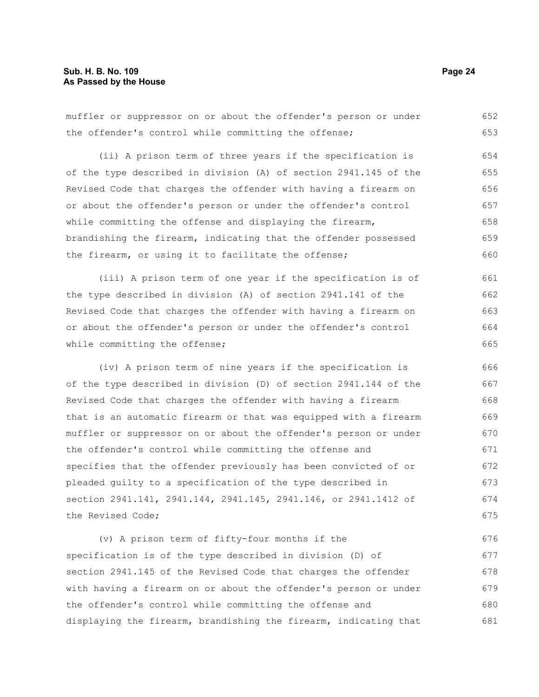muffler or suppressor on or about the offender's person or under the offender's control while committing the offense; (ii) A prison term of three years if the specification is of the type described in division (A) of section 2941.145 of the Revised Code that charges the offender with having a firearm on or about the offender's person or under the offender's control while committing the offense and displaying the firearm, brandishing the firearm, indicating that the offender possessed the firearm, or using it to facilitate the offense; (iii) A prison term of one year if the specification is of the type described in division (A) of section 2941.141 of the Revised Code that charges the offender with having a firearm on 652 653 654 655 656 657 658 659 660 661 662 663

or about the offender's person or under the offender's control while committing the offense; 664 665

(iv) A prison term of nine years if the specification is of the type described in division (D) of section 2941.144 of the Revised Code that charges the offender with having a firearm that is an automatic firearm or that was equipped with a firearm muffler or suppressor on or about the offender's person or under the offender's control while committing the offense and specifies that the offender previously has been convicted of or pleaded guilty to a specification of the type described in section 2941.141, 2941.144, 2941.145, 2941.146, or 2941.1412 of the Revised Code; 666 667 668 669 670 671 672 673 674 675

(v) A prison term of fifty-four months if the specification is of the type described in division (D) of section 2941.145 of the Revised Code that charges the offender with having a firearm on or about the offender's person or under the offender's control while committing the offense and displaying the firearm, brandishing the firearm, indicating that 676 677 678 679 680 681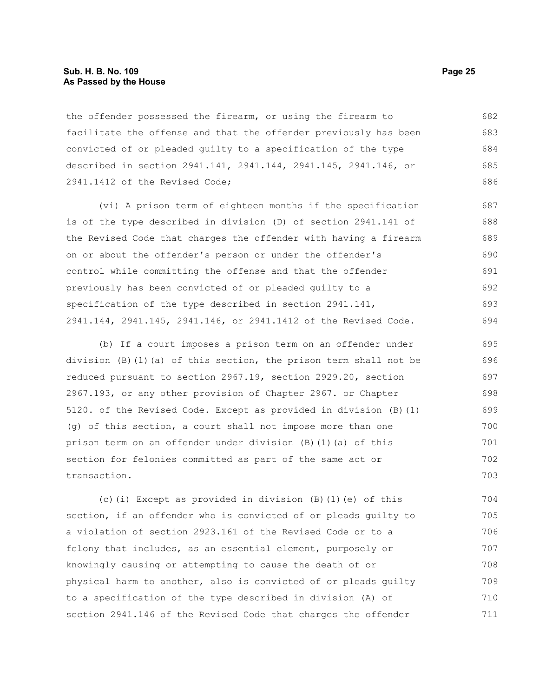### **Sub. H. B. No. 109 Page 25 As Passed by the House**

the offender possessed the firearm, or using the firearm to facilitate the offense and that the offender previously has been convicted of or pleaded guilty to a specification of the type described in section 2941.141, 2941.144, 2941.145, 2941.146, or 2941.1412 of the Revised Code; 682 683 684 685 686

(vi) A prison term of eighteen months if the specification is of the type described in division (D) of section 2941.141 of the Revised Code that charges the offender with having a firearm on or about the offender's person or under the offender's control while committing the offense and that the offender previously has been convicted of or pleaded guilty to a specification of the type described in section 2941.141, 2941.144, 2941.145, 2941.146, or 2941.1412 of the Revised Code. 687 688 689 690 691 692 693 694

(b) If a court imposes a prison term on an offender under division  $(B)(1)(a)$  of this section, the prison term shall not be reduced pursuant to section 2967.19, section 2929.20, section 2967.193, or any other provision of Chapter 2967. or Chapter 5120. of the Revised Code. Except as provided in division (B)(1) (g) of this section, a court shall not impose more than one prison term on an offender under division (B)(1)(a) of this section for felonies committed as part of the same act or transaction. 695 696 697 698 699 700 701 702 703

(c)(i) Except as provided in division (B)(1)(e) of this section, if an offender who is convicted of or pleads guilty to a violation of section 2923.161 of the Revised Code or to a felony that includes, as an essential element, purposely or knowingly causing or attempting to cause the death of or physical harm to another, also is convicted of or pleads guilty to a specification of the type described in division (A) of section 2941.146 of the Revised Code that charges the offender 704 705 706 707 708 709 710 711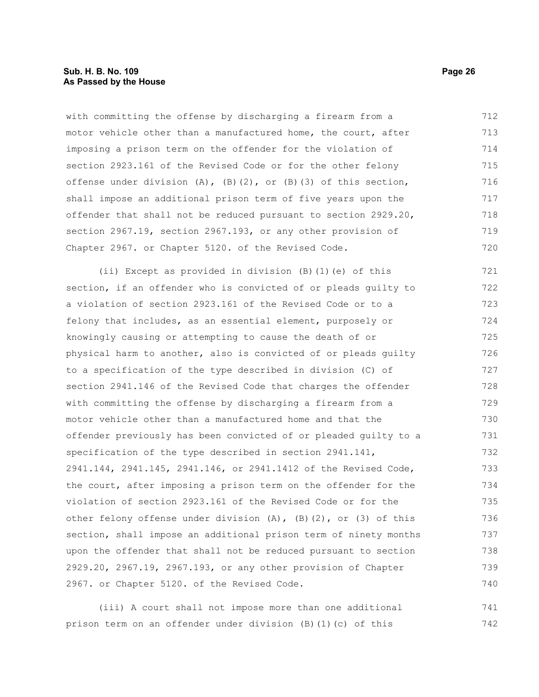with committing the offense by discharging a firearm from a motor vehicle other than a manufactured home, the court, after imposing a prison term on the offender for the violation of section 2923.161 of the Revised Code or for the other felony offense under division  $(A)$ ,  $(B)$  $(2)$ , or  $(B)$  $(3)$  of this section, shall impose an additional prison term of five years upon the offender that shall not be reduced pursuant to section 2929.20, section 2967.19, section 2967.193, or any other provision of Chapter 2967. or Chapter 5120. of the Revised Code. 712 713 714 715 716 717 718 719 720

(ii) Except as provided in division (B)(1)(e) of this section, if an offender who is convicted of or pleads guilty to a violation of section 2923.161 of the Revised Code or to a felony that includes, as an essential element, purposely or knowingly causing or attempting to cause the death of or physical harm to another, also is convicted of or pleads guilty to a specification of the type described in division (C) of section 2941.146 of the Revised Code that charges the offender with committing the offense by discharging a firearm from a motor vehicle other than a manufactured home and that the offender previously has been convicted of or pleaded guilty to a specification of the type described in section 2941.141, 2941.144, 2941.145, 2941.146, or 2941.1412 of the Revised Code, the court, after imposing a prison term on the offender for the violation of section 2923.161 of the Revised Code or for the other felony offense under division  $(A)$ ,  $(B)$   $(2)$ , or  $(3)$  of this section, shall impose an additional prison term of ninety months upon the offender that shall not be reduced pursuant to section 2929.20, 2967.19, 2967.193, or any other provision of Chapter 2967. or Chapter 5120. of the Revised Code. 721 722 723 724 725 726 727 728 729 730 731 732 733 734 735 736 737 738 739 740

(iii) A court shall not impose more than one additional prison term on an offender under division (B)(1)(c) of this 741 742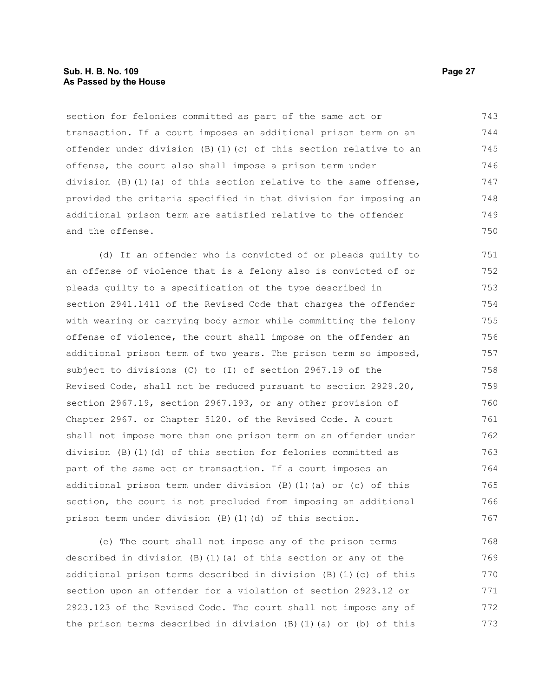# **Sub. H. B. No. 109 Page 27 As Passed by the House**

section for felonies committed as part of the same act or transaction. If a court imposes an additional prison term on an offender under division (B)(1)(c) of this section relative to an offense, the court also shall impose a prison term under division (B)(1)(a) of this section relative to the same offense, provided the criteria specified in that division for imposing an additional prison term are satisfied relative to the offender and the offense. 743 744 745 746 747 748 749 750

(d) If an offender who is convicted of or pleads guilty to an offense of violence that is a felony also is convicted of or pleads guilty to a specification of the type described in section 2941.1411 of the Revised Code that charges the offender with wearing or carrying body armor while committing the felony offense of violence, the court shall impose on the offender an additional prison term of two years. The prison term so imposed, subject to divisions (C) to (I) of section 2967.19 of the Revised Code, shall not be reduced pursuant to section 2929.20, section 2967.19, section 2967.193, or any other provision of Chapter 2967. or Chapter 5120. of the Revised Code. A court shall not impose more than one prison term on an offender under division (B)(1)(d) of this section for felonies committed as part of the same act or transaction. If a court imposes an additional prison term under division (B)(1)(a) or (c) of this section, the court is not precluded from imposing an additional prison term under division (B)(1)(d) of this section. 751 752 753 754 755 756 757 758 759 760 761 762 763 764 765 766 767

(e) The court shall not impose any of the prison terms described in division (B)(1)(a) of this section or any of the additional prison terms described in division (B)(1)(c) of this section upon an offender for a violation of section 2923.12 or 2923.123 of the Revised Code. The court shall not impose any of the prison terms described in division (B)(1)(a) or (b) of this 768 769 770 771 772 773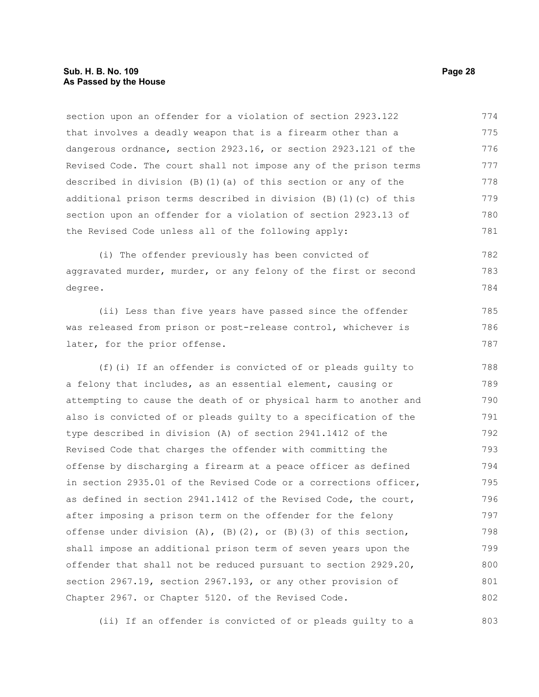section upon an offender for a violation of section 2923.122 that involves a deadly weapon that is a firearm other than a dangerous ordnance, section 2923.16, or section 2923.121 of the Revised Code. The court shall not impose any of the prison terms described in division  $(B)$  (1)(a) of this section or any of the additional prison terms described in division (B)(1)(c) of this section upon an offender for a violation of section 2923.13 of the Revised Code unless all of the following apply: 774 775 776 777 778 779 780 781

(i) The offender previously has been convicted of aggravated murder, murder, or any felony of the first or second degree. 782 783 784

(ii) Less than five years have passed since the offender was released from prison or post-release control, whichever is later, for the prior offense.

(f)(i) If an offender is convicted of or pleads guilty to a felony that includes, as an essential element, causing or attempting to cause the death of or physical harm to another and also is convicted of or pleads guilty to a specification of the type described in division (A) of section 2941.1412 of the Revised Code that charges the offender with committing the offense by discharging a firearm at a peace officer as defined in section 2935.01 of the Revised Code or a corrections officer, as defined in section 2941.1412 of the Revised Code, the court, after imposing a prison term on the offender for the felony offense under division  $(A)$ ,  $(B)$ (2), or  $(B)$ (3) of this section, shall impose an additional prison term of seven years upon the offender that shall not be reduced pursuant to section 2929.20, section 2967.19, section 2967.193, or any other provision of Chapter 2967. or Chapter 5120. of the Revised Code. 788 789 790 791 792 793 794 795 796 797 798 799 800 801 802

(ii) If an offender is convicted of or pleads guilty to a 803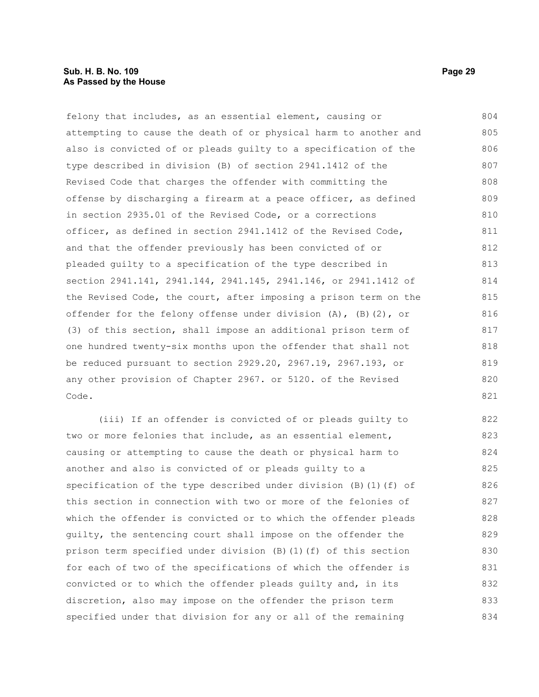felony that includes, as an essential element, causing or attempting to cause the death of or physical harm to another and also is convicted of or pleads guilty to a specification of the type described in division (B) of section 2941.1412 of the Revised Code that charges the offender with committing the offense by discharging a firearm at a peace officer, as defined in section 2935.01 of the Revised Code, or a corrections officer, as defined in section 2941.1412 of the Revised Code, and that the offender previously has been convicted of or pleaded guilty to a specification of the type described in section 2941.141, 2941.144, 2941.145, 2941.146, or 2941.1412 of the Revised Code, the court, after imposing a prison term on the offender for the felony offense under division  $(A)$ ,  $(B)$   $(2)$ , or (3) of this section, shall impose an additional prison term of one hundred twenty-six months upon the offender that shall not be reduced pursuant to section 2929.20, 2967.19, 2967.193, or any other provision of Chapter 2967. or 5120. of the Revised Code. 804 805 806 807 808 809 810 811 812 813 814 815 816 817 818 819 820 821

(iii) If an offender is convicted of or pleads guilty to two or more felonies that include, as an essential element, causing or attempting to cause the death or physical harm to another and also is convicted of or pleads guilty to a specification of the type described under division (B)(1)(f) of this section in connection with two or more of the felonies of which the offender is convicted or to which the offender pleads guilty, the sentencing court shall impose on the offender the prison term specified under division (B)(1)(f) of this section for each of two of the specifications of which the offender is convicted or to which the offender pleads guilty and, in its discretion, also may impose on the offender the prison term specified under that division for any or all of the remaining 822 823 824 825 826 827 828 829 830 831 832 833 834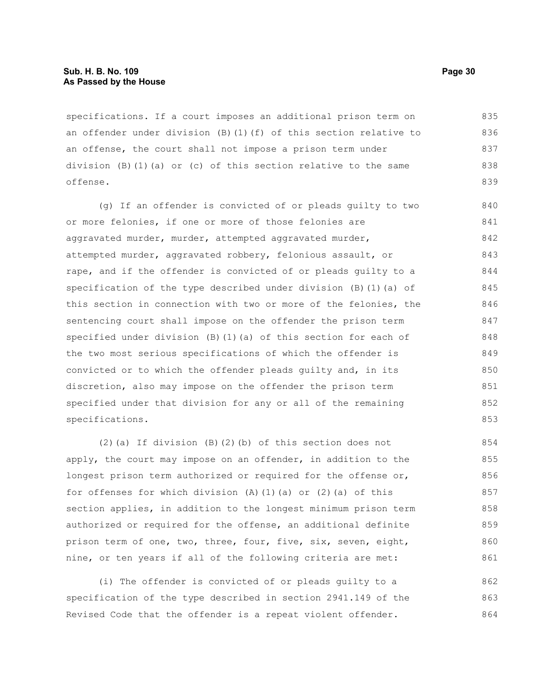#### **Sub. H. B. No. 109 Page 30 As Passed by the House**

specifications. If a court imposes an additional prison term on an offender under division (B)(1)(f) of this section relative to an offense, the court shall not impose a prison term under division (B)(1)(a) or (c) of this section relative to the same offense. 835 836 837 838 839

(g) If an offender is convicted of or pleads guilty to two or more felonies, if one or more of those felonies are aggravated murder, murder, attempted aggravated murder, attempted murder, aggravated robbery, felonious assault, or rape, and if the offender is convicted of or pleads guilty to a specification of the type described under division  $(B)$  (1)(a) of this section in connection with two or more of the felonies, the sentencing court shall impose on the offender the prison term specified under division  $(B)$  (1)(a) of this section for each of the two most serious specifications of which the offender is convicted or to which the offender pleads guilty and, in its discretion, also may impose on the offender the prison term specified under that division for any or all of the remaining specifications. 840 841 842 843 844 845 846 847 848 849 850 851 852 853

(2)(a) If division (B)(2)(b) of this section does not apply, the court may impose on an offender, in addition to the longest prison term authorized or required for the offense or, for offenses for which division  $(A)$   $(1)$   $(a)$  or  $(2)$   $(a)$  of this section applies, in addition to the longest minimum prison term authorized or required for the offense, an additional definite prison term of one, two, three, four, five, six, seven, eight, nine, or ten years if all of the following criteria are met: 854 855 856 857 858 859 860 861

(i) The offender is convicted of or pleads guilty to a specification of the type described in section 2941.149 of the Revised Code that the offender is a repeat violent offender. 862 863 864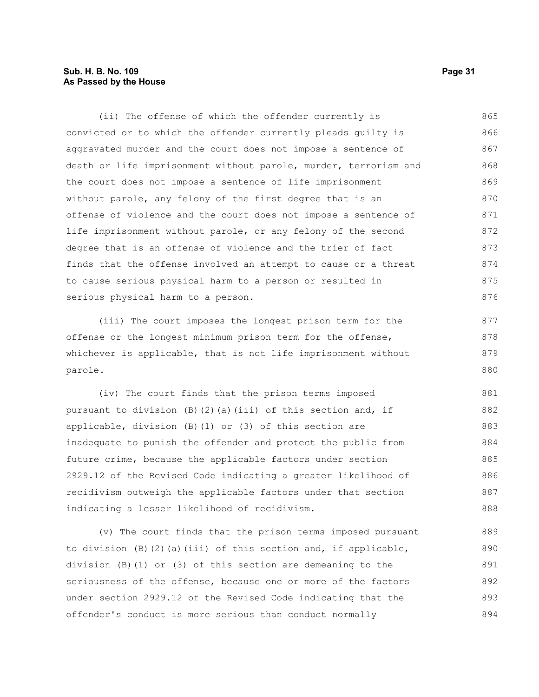# **Sub. H. B. No. 109 Page 31 As Passed by the House**

(ii) The offense of which the offender currently is convicted or to which the offender currently pleads guilty is aggravated murder and the court does not impose a sentence of death or life imprisonment without parole, murder, terrorism and the court does not impose a sentence of life imprisonment without parole, any felony of the first degree that is an offense of violence and the court does not impose a sentence of life imprisonment without parole, or any felony of the second degree that is an offense of violence and the trier of fact finds that the offense involved an attempt to cause or a threat to cause serious physical harm to a person or resulted in serious physical harm to a person. 865 866 867 868 869 870 871 872 873 874 875 876

(iii) The court imposes the longest prison term for the offense or the longest minimum prison term for the offense, whichever is applicable, that is not life imprisonment without parole. 877 878 879 880

(iv) The court finds that the prison terms imposed pursuant to division  $(B)$   $(2)$   $(a)$   $(iii)$  of this section and, if applicable, division (B)(1) or (3) of this section are inadequate to punish the offender and protect the public from future crime, because the applicable factors under section 2929.12 of the Revised Code indicating a greater likelihood of recidivism outweigh the applicable factors under that section indicating a lesser likelihood of recidivism. 881 882 883 884 885 886 887 888

(v) The court finds that the prison terms imposed pursuant to division  $(B)(2)(a)(iii)$  of this section and, if applicable, division (B)(1) or (3) of this section are demeaning to the seriousness of the offense, because one or more of the factors under section 2929.12 of the Revised Code indicating that the offender's conduct is more serious than conduct normally 889 890 891 892 893 894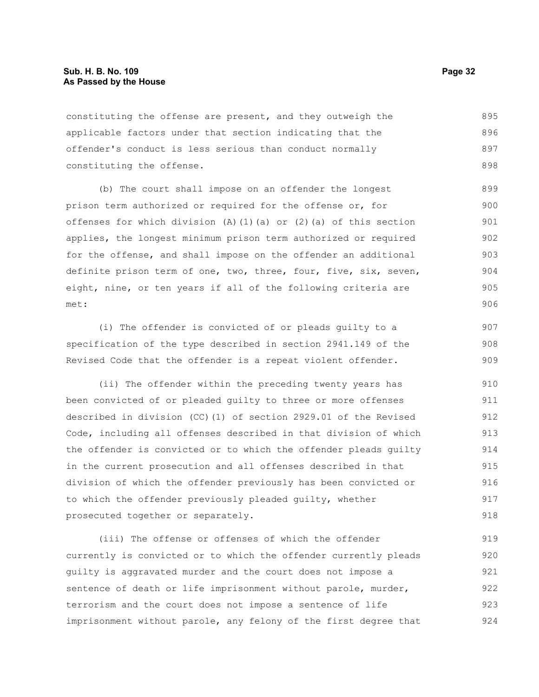constituting the offense are present, and they outweigh the applicable factors under that section indicating that the offender's conduct is less serious than conduct normally constituting the offense. 895 896 897 898

(b) The court shall impose on an offender the longest prison term authorized or required for the offense or, for offenses for which division (A)(1)(a) or (2)(a) of this section applies, the longest minimum prison term authorized or required for the offense, and shall impose on the offender an additional definite prison term of one, two, three, four, five, six, seven, eight, nine, or ten years if all of the following criteria are met:

(i) The offender is convicted of or pleads guilty to a specification of the type described in section 2941.149 of the Revised Code that the offender is a repeat violent offender.

(ii) The offender within the preceding twenty years has been convicted of or pleaded guilty to three or more offenses described in division (CC)(1) of section 2929.01 of the Revised Code, including all offenses described in that division of which the offender is convicted or to which the offender pleads guilty in the current prosecution and all offenses described in that division of which the offender previously has been convicted or to which the offender previously pleaded guilty, whether prosecuted together or separately. 910 911 912 913 914 915 916 917 918

(iii) The offense or offenses of which the offender currently is convicted or to which the offender currently pleads guilty is aggravated murder and the court does not impose a sentence of death or life imprisonment without parole, murder, terrorism and the court does not impose a sentence of life imprisonment without parole, any felony of the first degree that 919 920 921 922 923 924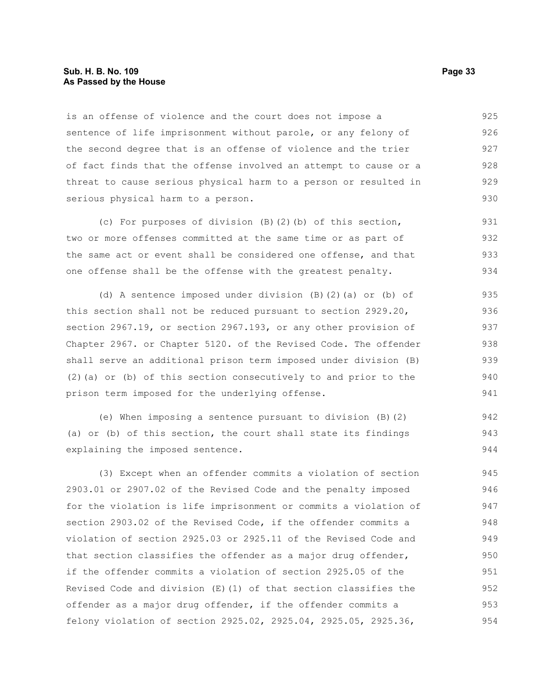## **Sub. H. B. No. 109 Page 33 As Passed by the House**

is an offense of violence and the court does not impose a sentence of life imprisonment without parole, or any felony of the second degree that is an offense of violence and the trier of fact finds that the offense involved an attempt to cause or a threat to cause serious physical harm to a person or resulted in serious physical harm to a person. 925 926 927 928 929 930

(c) For purposes of division (B)(2)(b) of this section, two or more offenses committed at the same time or as part of the same act or event shall be considered one offense, and that one offense shall be the offense with the greatest penalty. 931 932 933 934

(d) A sentence imposed under division (B)(2)(a) or (b) of this section shall not be reduced pursuant to section 2929.20, section 2967.19, or section 2967.193, or any other provision of Chapter 2967. or Chapter 5120. of the Revised Code. The offender shall serve an additional prison term imposed under division (B) (2)(a) or (b) of this section consecutively to and prior to the prison term imposed for the underlying offense.

(e) When imposing a sentence pursuant to division (B)(2) (a) or (b) of this section, the court shall state its findings explaining the imposed sentence.

(3) Except when an offender commits a violation of section 2903.01 or 2907.02 of the Revised Code and the penalty imposed for the violation is life imprisonment or commits a violation of section 2903.02 of the Revised Code, if the offender commits a violation of section 2925.03 or 2925.11 of the Revised Code and that section classifies the offender as a major drug offender, if the offender commits a violation of section 2925.05 of the Revised Code and division  $(E)(1)$  of that section classifies the offender as a major drug offender, if the offender commits a felony violation of section 2925.02, 2925.04, 2925.05, 2925.36, 945 946 947 948 949 950 951 952 953 954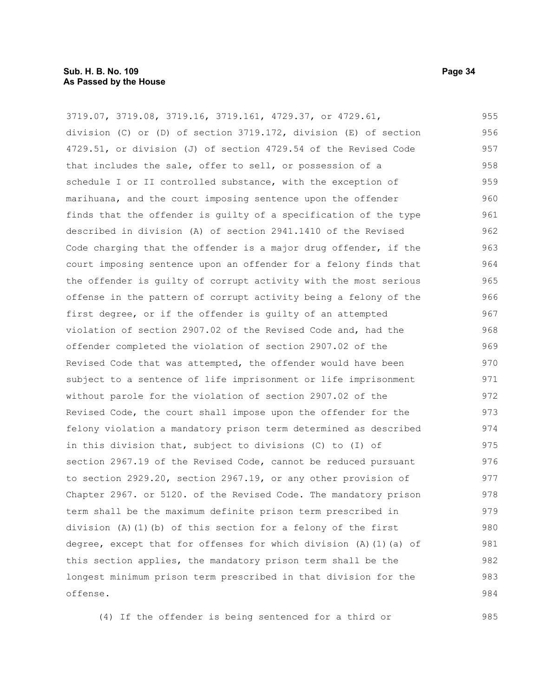# **Sub. H. B. No. 109 Page 34 As Passed by the House**

3719.07, 3719.08, 3719.16, 3719.161, 4729.37, or 4729.61, division (C) or (D) of section 3719.172, division (E) of section 4729.51, or division (J) of section 4729.54 of the Revised Code that includes the sale, offer to sell, or possession of a schedule I or II controlled substance, with the exception of marihuana, and the court imposing sentence upon the offender finds that the offender is guilty of a specification of the type described in division (A) of section 2941.1410 of the Revised Code charging that the offender is a major drug offender, if the court imposing sentence upon an offender for a felony finds that the offender is guilty of corrupt activity with the most serious offense in the pattern of corrupt activity being a felony of the first degree, or if the offender is guilty of an attempted violation of section 2907.02 of the Revised Code and, had the offender completed the violation of section 2907.02 of the Revised Code that was attempted, the offender would have been subject to a sentence of life imprisonment or life imprisonment without parole for the violation of section 2907.02 of the Revised Code, the court shall impose upon the offender for the felony violation a mandatory prison term determined as described in this division that, subject to divisions (C) to (I) of section 2967.19 of the Revised Code, cannot be reduced pursuant to section 2929.20, section 2967.19, or any other provision of Chapter 2967. or 5120. of the Revised Code. The mandatory prison term shall be the maximum definite prison term prescribed in division (A)(1)(b) of this section for a felony of the first degree, except that for offenses for which division (A)(1)(a) of this section applies, the mandatory prison term shall be the longest minimum prison term prescribed in that division for the offense. 955 956 957 958 959 960 961 962 963 964 965 966 967 968 969 970 971 972 973 974 975 976 977 978 979 980 981 982 983 984

(4) If the offender is being sentenced for a third or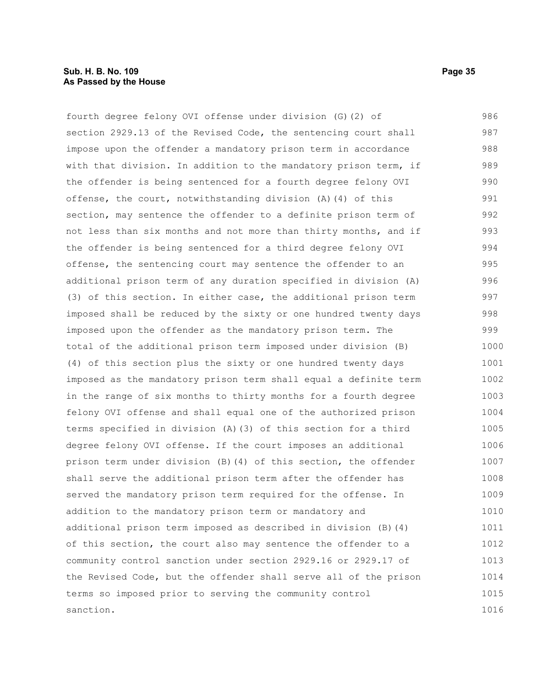# **Sub. H. B. No. 109 Page 35 As Passed by the House**

fourth degree felony OVI offense under division (G)(2) of section 2929.13 of the Revised Code, the sentencing court shall impose upon the offender a mandatory prison term in accordance with that division. In addition to the mandatory prison term, if the offender is being sentenced for a fourth degree felony OVI offense, the court, notwithstanding division (A)(4) of this section, may sentence the offender to a definite prison term of not less than six months and not more than thirty months, and if the offender is being sentenced for a third degree felony OVI offense, the sentencing court may sentence the offender to an additional prison term of any duration specified in division (A) (3) of this section. In either case, the additional prison term imposed shall be reduced by the sixty or one hundred twenty days imposed upon the offender as the mandatory prison term. The total of the additional prison term imposed under division (B) (4) of this section plus the sixty or one hundred twenty days imposed as the mandatory prison term shall equal a definite term in the range of six months to thirty months for a fourth degree felony OVI offense and shall equal one of the authorized prison terms specified in division (A)(3) of this section for a third degree felony OVI offense. If the court imposes an additional prison term under division (B)(4) of this section, the offender shall serve the additional prison term after the offender has served the mandatory prison term required for the offense. In addition to the mandatory prison term or mandatory and additional prison term imposed as described in division (B)(4) of this section, the court also may sentence the offender to a community control sanction under section 2929.16 or 2929.17 of the Revised Code, but the offender shall serve all of the prison terms so imposed prior to serving the community control sanction. 986 987 988 989 990 991 992 993 994 995 996 997 998 999 1000 1001 1002 1003 1004 1005 1006 1007 1008 1009 1010 1011 1012 1013 1014 1015 1016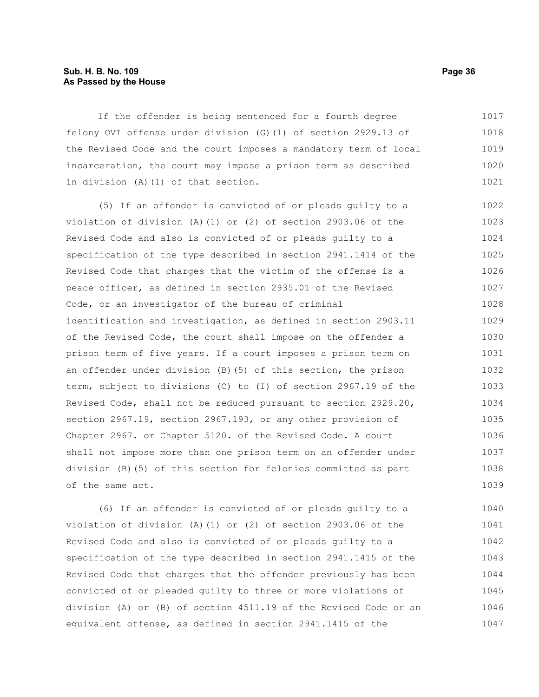# **Sub. H. B. No. 109 Page 36 As Passed by the House**

If the offender is being sentenced for a fourth degree felony OVI offense under division (G)(1) of section 2929.13 of the Revised Code and the court imposes a mandatory term of local incarceration, the court may impose a prison term as described in division (A)(1) of that section. 1017 1018 1019 1020 1021

(5) If an offender is convicted of or pleads guilty to a violation of division (A)(1) or (2) of section 2903.06 of the Revised Code and also is convicted of or pleads guilty to a specification of the type described in section 2941.1414 of the Revised Code that charges that the victim of the offense is a peace officer, as defined in section 2935.01 of the Revised Code, or an investigator of the bureau of criminal identification and investigation, as defined in section 2903.11 of the Revised Code, the court shall impose on the offender a prison term of five years. If a court imposes a prison term on an offender under division (B)(5) of this section, the prison term, subject to divisions (C) to (I) of section 2967.19 of the Revised Code, shall not be reduced pursuant to section 2929.20, section 2967.19, section 2967.193, or any other provision of Chapter 2967. or Chapter 5120. of the Revised Code. A court shall not impose more than one prison term on an offender under division (B)(5) of this section for felonies committed as part of the same act. 1022 1023 1024 1025 1026 1027 1028 1029 1030 1031 1032 1033 1034 1035 1036 1037 1038 1039

(6) If an offender is convicted of or pleads guilty to a violation of division (A)(1) or (2) of section 2903.06 of the Revised Code and also is convicted of or pleads guilty to a specification of the type described in section 2941.1415 of the Revised Code that charges that the offender previously has been convicted of or pleaded guilty to three or more violations of division (A) or (B) of section 4511.19 of the Revised Code or an equivalent offense, as defined in section 2941.1415 of the 1040 1041 1042 1043 1044 1045 1046 1047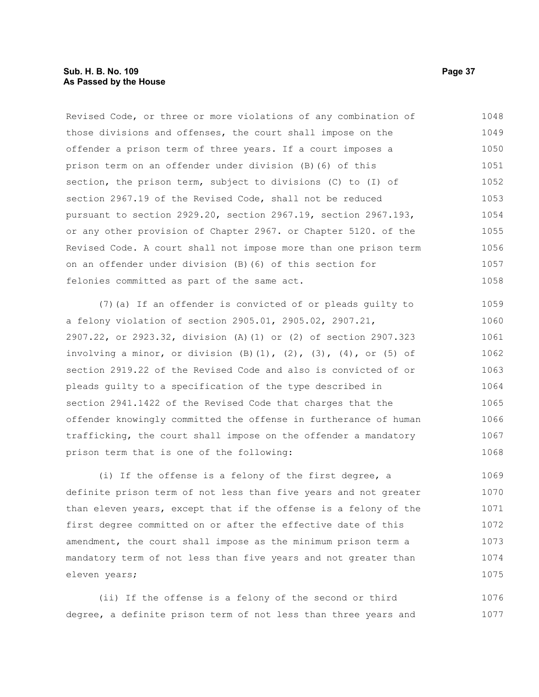Revised Code, or three or more violations of any combination of those divisions and offenses, the court shall impose on the offender a prison term of three years. If a court imposes a prison term on an offender under division (B)(6) of this section, the prison term, subject to divisions (C) to (I) of section 2967.19 of the Revised Code, shall not be reduced pursuant to section 2929.20, section 2967.19, section 2967.193, or any other provision of Chapter 2967. or Chapter 5120. of the Revised Code. A court shall not impose more than one prison term on an offender under division (B)(6) of this section for felonies committed as part of the same act. 1048 1049 1050 1051 1052 1053 1054 1055 1056 1057 1058

(7)(a) If an offender is convicted of or pleads guilty to a felony violation of section 2905.01, 2905.02, 2907.21, 2907.22, or 2923.32, division (A)(1) or (2) of section 2907.323 involving a minor, or division  $(B)$   $(1)$ ,  $(2)$ ,  $(3)$ ,  $(4)$ , or  $(5)$  of section 2919.22 of the Revised Code and also is convicted of or pleads guilty to a specification of the type described in section 2941.1422 of the Revised Code that charges that the offender knowingly committed the offense in furtherance of human trafficking, the court shall impose on the offender a mandatory prison term that is one of the following: 1059 1060 1061 1063 1065 1066 1068

(i) If the offense is a felony of the first degree, a definite prison term of not less than five years and not greater than eleven years, except that if the offense is a felony of the first degree committed on or after the effective date of this amendment, the court shall impose as the minimum prison term a mandatory term of not less than five years and not greater than eleven years; 1069 1070 1071 1072 1073 1074 1075

(ii) If the offense is a felony of the second or third degree, a definite prison term of not less than three years and 1076 1077

1062

1064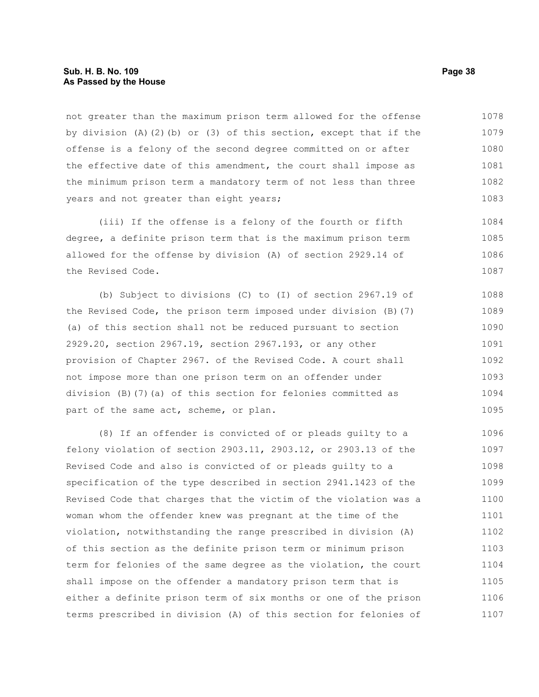not greater than the maximum prison term allowed for the offense by division (A)(2)(b) or (3) of this section, except that if the offense is a felony of the second degree committed on or after the effective date of this amendment, the court shall impose as the minimum prison term a mandatory term of not less than three years and not greater than eight years; 1078 1079 1080 1081 1082 1083

(iii) If the offense is a felony of the fourth or fifth degree, a definite prison term that is the maximum prison term allowed for the offense by division (A) of section 2929.14 of the Revised Code. 1084 1085 1086 1087

(b) Subject to divisions (C) to (I) of section 2967.19 of the Revised Code, the prison term imposed under division (B)(7) (a) of this section shall not be reduced pursuant to section 2929.20, section 2967.19, section 2967.193, or any other provision of Chapter 2967. of the Revised Code. A court shall not impose more than one prison term on an offender under division (B)(7)(a) of this section for felonies committed as part of the same act, scheme, or plan. 1088 1089 1090 1091 1092 1093 1094 1095

(8) If an offender is convicted of or pleads guilty to a felony violation of section 2903.11, 2903.12, or 2903.13 of the Revised Code and also is convicted of or pleads guilty to a specification of the type described in section 2941.1423 of the Revised Code that charges that the victim of the violation was a woman whom the offender knew was pregnant at the time of the violation, notwithstanding the range prescribed in division (A) of this section as the definite prison term or minimum prison term for felonies of the same degree as the violation, the court shall impose on the offender a mandatory prison term that is either a definite prison term of six months or one of the prison terms prescribed in division (A) of this section for felonies of 1096 1097 1098 1099 1100 1101 1102 1103 1104 1105 1106 1107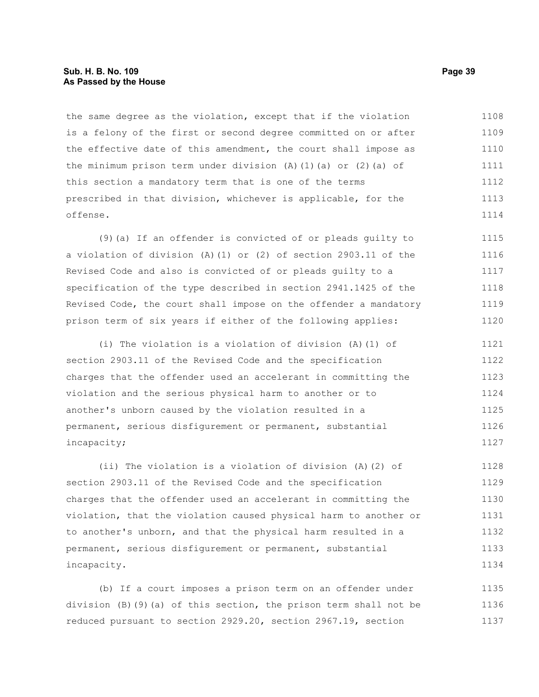# **Sub. H. B. No. 109 Page 39 As Passed by the House**

the same degree as the violation, except that if the violation is a felony of the first or second degree committed on or after the effective date of this amendment, the court shall impose as the minimum prison term under division  $(A)$   $(1)$   $(a)$  or  $(2)$   $(a)$  of this section a mandatory term that is one of the terms prescribed in that division, whichever is applicable, for the offense. 1108 1109 1110 1111 1112 1113 1114

(9)(a) If an offender is convicted of or pleads guilty to a violation of division (A)(1) or (2) of section 2903.11 of the Revised Code and also is convicted of or pleads guilty to a specification of the type described in section 2941.1425 of the Revised Code, the court shall impose on the offender a mandatory prison term of six years if either of the following applies: 1115 1116 1117 1118 1119 1120

(i) The violation is a violation of division (A)(1) of section 2903.11 of the Revised Code and the specification charges that the offender used an accelerant in committing the violation and the serious physical harm to another or to another's unborn caused by the violation resulted in a permanent, serious disfigurement or permanent, substantial incapacity; 1121 1122 1123 1124 1125 1126 1127

(ii) The violation is a violation of division (A)(2) of section 2903.11 of the Revised Code and the specification charges that the offender used an accelerant in committing the violation, that the violation caused physical harm to another or to another's unborn, and that the physical harm resulted in a permanent, serious disfigurement or permanent, substantial incapacity. 1128 1129 1130 1131 1132 1133 1134

(b) If a court imposes a prison term on an offender under division (B)(9)(a) of this section, the prison term shall not be reduced pursuant to section 2929.20, section 2967.19, section 1135 1136 1137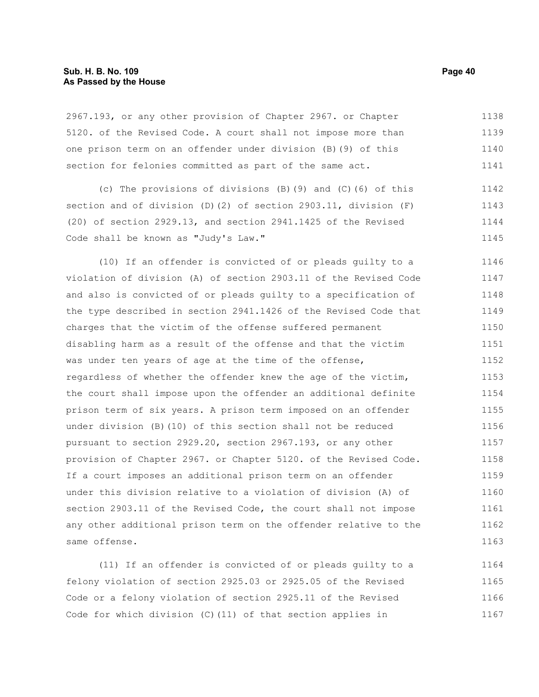# **Sub. H. B. No. 109 Page 40 As Passed by the House**

2967.193, or any other provision of Chapter 2967. or Chapter 5120. of the Revised Code. A court shall not impose more than one prison term on an offender under division (B)(9) of this section for felonies committed as part of the same act. 1138 1139 1140 1141

(c) The provisions of divisions (B)(9) and (C)(6) of this section and of division (D)(2) of section 2903.11, division (F) (20) of section 2929.13, and section 2941.1425 of the Revised Code shall be known as "Judy's Law." 1142 1143 1144 1145

(10) If an offender is convicted of or pleads guilty to a violation of division (A) of section 2903.11 of the Revised Code and also is convicted of or pleads guilty to a specification of the type described in section 2941.1426 of the Revised Code that charges that the victim of the offense suffered permanent disabling harm as a result of the offense and that the victim was under ten years of age at the time of the offense, regardless of whether the offender knew the age of the victim, the court shall impose upon the offender an additional definite prison term of six years. A prison term imposed on an offender under division (B)(10) of this section shall not be reduced pursuant to section 2929.20, section 2967.193, or any other provision of Chapter 2967. or Chapter 5120. of the Revised Code. If a court imposes an additional prison term on an offender under this division relative to a violation of division (A) of section 2903.11 of the Revised Code, the court shall not impose any other additional prison term on the offender relative to the same offense. 1146 1147 1148 1149 1150 1151 1152 1153 1154 1155 1156 1157 1158 1159 1160 1161 1162 1163

(11) If an offender is convicted of or pleads guilty to a felony violation of section 2925.03 or 2925.05 of the Revised Code or a felony violation of section 2925.11 of the Revised Code for which division (C)(11) of that section applies in 1164 1165 1166 1167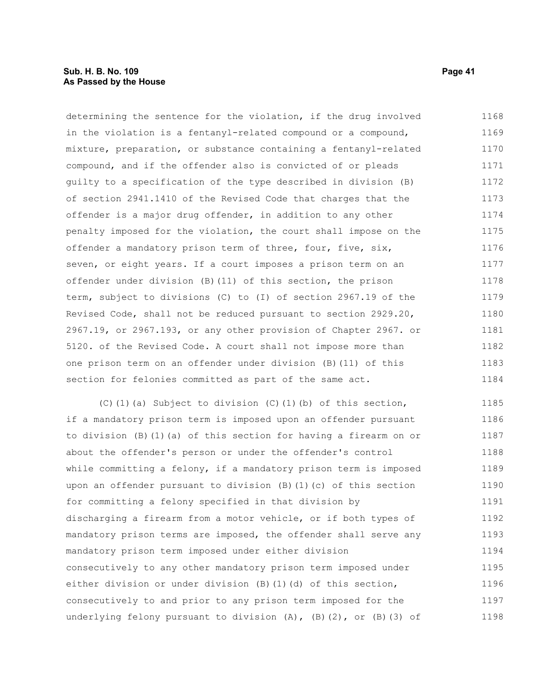determining the sentence for the violation, if the drug involved in the violation is a fentanyl-related compound or a compound, mixture, preparation, or substance containing a fentanyl-related compound, and if the offender also is convicted of or pleads guilty to a specification of the type described in division (B) of section 2941.1410 of the Revised Code that charges that the offender is a major drug offender, in addition to any other penalty imposed for the violation, the court shall impose on the offender a mandatory prison term of three, four, five, six, seven, or eight years. If a court imposes a prison term on an offender under division (B)(11) of this section, the prison term, subject to divisions (C) to (I) of section 2967.19 of the Revised Code, shall not be reduced pursuant to section 2929.20, 2967.19, or 2967.193, or any other provision of Chapter 2967. or 5120. of the Revised Code. A court shall not impose more than one prison term on an offender under division (B)(11) of this section for felonies committed as part of the same act. 1168 1169 1170 1171 1172 1173 1174 1175 1176 1177 1178 1179 1180 1181 1182 1183 1184

(C)(1)(a) Subject to division (C)(1)(b) of this section, if a mandatory prison term is imposed upon an offender pursuant to division (B)(1)(a) of this section for having a firearm on or about the offender's person or under the offender's control while committing a felony, if a mandatory prison term is imposed upon an offender pursuant to division (B)(1)(c) of this section for committing a felony specified in that division by discharging a firearm from a motor vehicle, or if both types of mandatory prison terms are imposed, the offender shall serve any mandatory prison term imposed under either division consecutively to any other mandatory prison term imposed under either division or under division (B)(1)(d) of this section, consecutively to and prior to any prison term imposed for the underlying felony pursuant to division  $(A)$ ,  $(B)$ (2), or  $(B)$ (3) of 1185 1186 1187 1188 1189 1190 1191 1192 1193 1194 1195 1196 1197 1198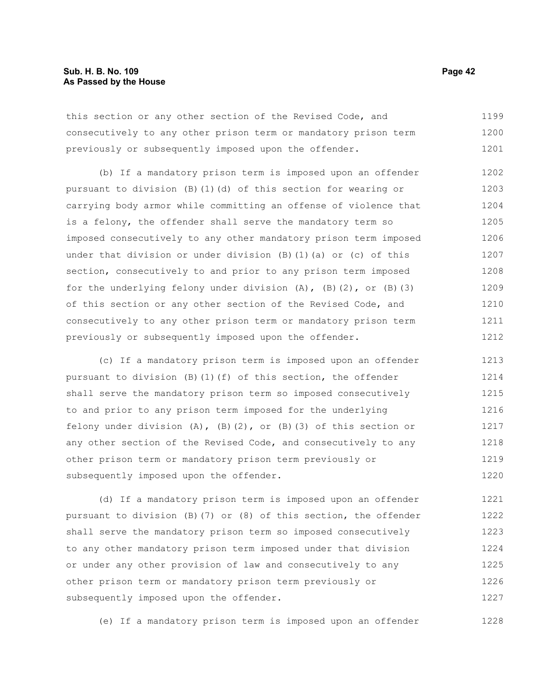this section or any other section of the Revised Code, and consecutively to any other prison term or mandatory prison term previously or subsequently imposed upon the offender. 1199 1200 1201

(b) If a mandatory prison term is imposed upon an offender pursuant to division (B)(1)(d) of this section for wearing or carrying body armor while committing an offense of violence that is a felony, the offender shall serve the mandatory term so imposed consecutively to any other mandatory prison term imposed under that division or under division (B)(1)(a) or (c) of this section, consecutively to and prior to any prison term imposed for the underlying felony under division  $(A)$ ,  $(B)$   $(2)$ , or  $(B)$   $(3)$ of this section or any other section of the Revised Code, and consecutively to any other prison term or mandatory prison term previously or subsequently imposed upon the offender. 1202 1203 1204 1205 1206 1207 1208 1209 1210 1211 1212

(c) If a mandatory prison term is imposed upon an offender pursuant to division  $(B)(1)(f)$  of this section, the offender shall serve the mandatory prison term so imposed consecutively to and prior to any prison term imposed for the underlying felony under division  $(A)$ ,  $(B)$   $(2)$ , or  $(B)$   $(3)$  of this section or any other section of the Revised Code, and consecutively to any other prison term or mandatory prison term previously or subsequently imposed upon the offender. 1213 1214 1215 1216 1217 1218 1219 1220

(d) If a mandatory prison term is imposed upon an offender pursuant to division (B)(7) or (8) of this section, the offender shall serve the mandatory prison term so imposed consecutively to any other mandatory prison term imposed under that division or under any other provision of law and consecutively to any other prison term or mandatory prison term previously or subsequently imposed upon the offender. 1221 1222 1223 1224 1225 1226 1227

(e) If a mandatory prison term is imposed upon an offender 1228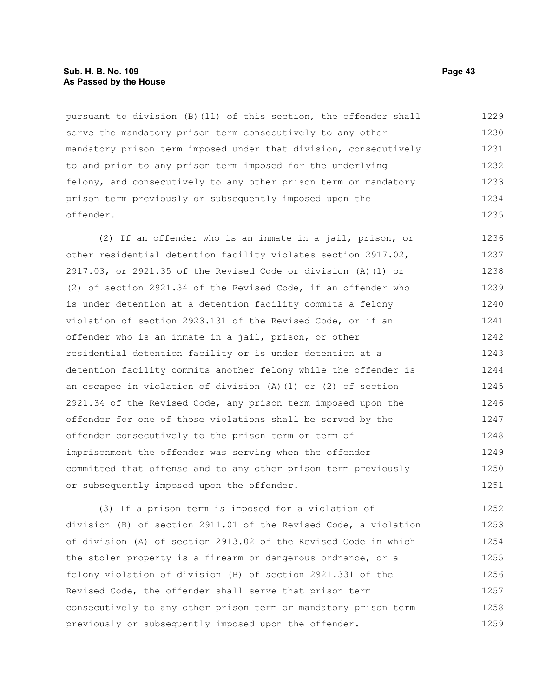# **Sub. H. B. No. 109 Page 43 As Passed by the House**

pursuant to division (B)(11) of this section, the offender shall serve the mandatory prison term consecutively to any other mandatory prison term imposed under that division, consecutively to and prior to any prison term imposed for the underlying felony, and consecutively to any other prison term or mandatory prison term previously or subsequently imposed upon the offender. 1229 1230 1231 1232 1233 1234 1235

(2) If an offender who is an inmate in a jail, prison, or other residential detention facility violates section 2917.02, 2917.03, or 2921.35 of the Revised Code or division (A)(1) or (2) of section 2921.34 of the Revised Code, if an offender who is under detention at a detention facility commits a felony violation of section 2923.131 of the Revised Code, or if an offender who is an inmate in a jail, prison, or other residential detention facility or is under detention at a detention facility commits another felony while the offender is an escapee in violation of division (A)(1) or (2) of section 2921.34 of the Revised Code, any prison term imposed upon the offender for one of those violations shall be served by the offender consecutively to the prison term or term of imprisonment the offender was serving when the offender committed that offense and to any other prison term previously or subsequently imposed upon the offender. 1236 1237 1238 1239 1240 1241 1242 1243 1244 1245 1246 1247 1248 1249 1250 1251

(3) If a prison term is imposed for a violation of division (B) of section 2911.01 of the Revised Code, a violation of division (A) of section 2913.02 of the Revised Code in which the stolen property is a firearm or dangerous ordnance, or a felony violation of division (B) of section 2921.331 of the Revised Code, the offender shall serve that prison term consecutively to any other prison term or mandatory prison term previously or subsequently imposed upon the offender. 1252 1253 1254 1255 1256 1257 1258 1259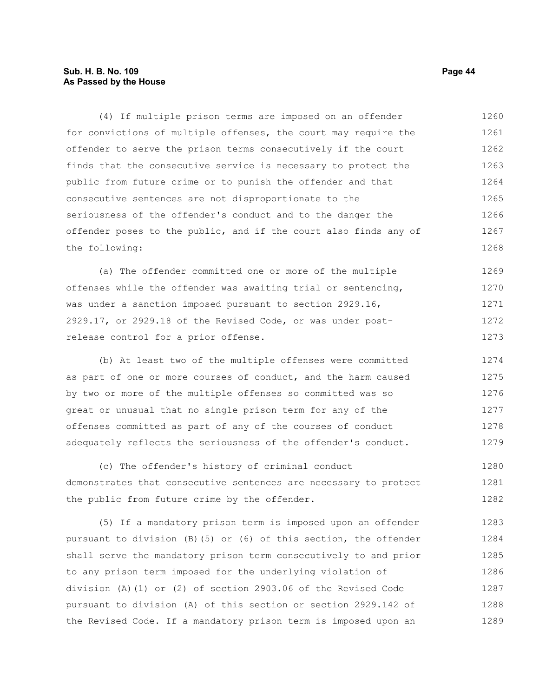# **Sub. H. B. No. 109 Page 44 As Passed by the House**

(4) If multiple prison terms are imposed on an offender for convictions of multiple offenses, the court may require the offender to serve the prison terms consecutively if the court finds that the consecutive service is necessary to protect the public from future crime or to punish the offender and that consecutive sentences are not disproportionate to the seriousness of the offender's conduct and to the danger the offender poses to the public, and if the court also finds any of the following: 1260 1261 1262 1263 1264 1265 1266 1267 1268

(a) The offender committed one or more of the multiple offenses while the offender was awaiting trial or sentencing, was under a sanction imposed pursuant to section 2929.16, 2929.17, or 2929.18 of the Revised Code, or was under postrelease control for a prior offense. 1269 1270 1271 1272 1273

(b) At least two of the multiple offenses were committed as part of one or more courses of conduct, and the harm caused by two or more of the multiple offenses so committed was so great or unusual that no single prison term for any of the offenses committed as part of any of the courses of conduct adequately reflects the seriousness of the offender's conduct. 1274 1275 1276 1277 1278 1279

(c) The offender's history of criminal conduct demonstrates that consecutive sentences are necessary to protect the public from future crime by the offender. 1280 1281 1282

(5) If a mandatory prison term is imposed upon an offender pursuant to division (B)(5) or (6) of this section, the offender shall serve the mandatory prison term consecutively to and prior to any prison term imposed for the underlying violation of division (A)(1) or (2) of section 2903.06 of the Revised Code pursuant to division (A) of this section or section 2929.142 of the Revised Code. If a mandatory prison term is imposed upon an 1283 1284 1285 1286 1287 1288 1289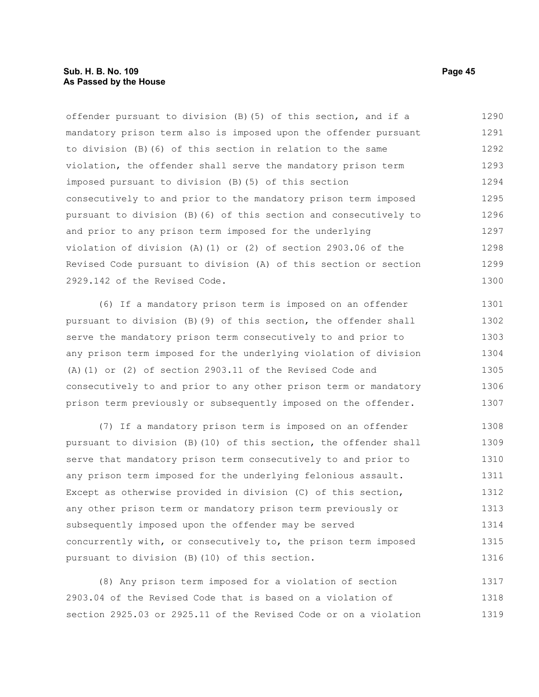# **Sub. H. B. No. 109 Page 45 As Passed by the House**

offender pursuant to division (B)(5) of this section, and if a mandatory prison term also is imposed upon the offender pursuant to division (B)(6) of this section in relation to the same violation, the offender shall serve the mandatory prison term imposed pursuant to division (B)(5) of this section consecutively to and prior to the mandatory prison term imposed pursuant to division (B)(6) of this section and consecutively to and prior to any prison term imposed for the underlying violation of division (A)(1) or (2) of section 2903.06 of the Revised Code pursuant to division (A) of this section or section 2929.142 of the Revised Code. 1290 1291 1292 1293 1294 1295 1296 1297 1298 1299 1300

(6) If a mandatory prison term is imposed on an offender pursuant to division (B)(9) of this section, the offender shall serve the mandatory prison term consecutively to and prior to any prison term imposed for the underlying violation of division (A)(1) or (2) of section 2903.11 of the Revised Code and consecutively to and prior to any other prison term or mandatory prison term previously or subsequently imposed on the offender. 1301 1302 1303 1304 1305 1306 1307

(7) If a mandatory prison term is imposed on an offender pursuant to division (B)(10) of this section, the offender shall serve that mandatory prison term consecutively to and prior to any prison term imposed for the underlying felonious assault. Except as otherwise provided in division (C) of this section, any other prison term or mandatory prison term previously or subsequently imposed upon the offender may be served concurrently with, or consecutively to, the prison term imposed pursuant to division (B)(10) of this section. 1308 1309 1310 1311 1312 1313 1314 1315 1316

(8) Any prison term imposed for a violation of section 2903.04 of the Revised Code that is based on a violation of section 2925.03 or 2925.11 of the Revised Code or on a violation 1317 1318 1319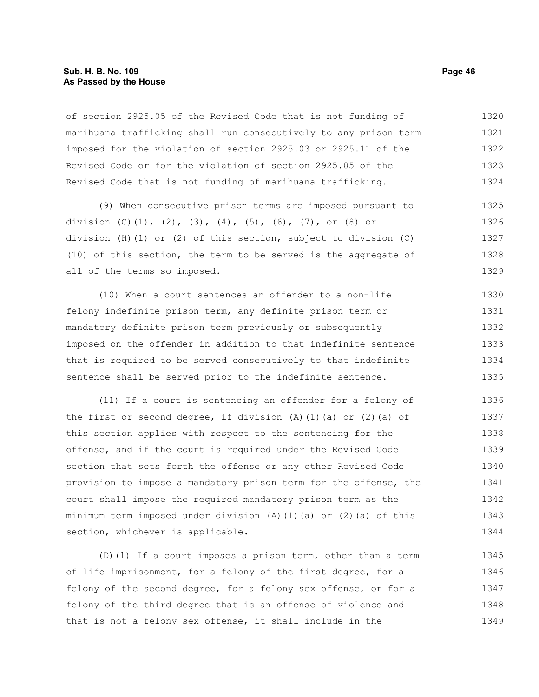# **Sub. H. B. No. 109 Page 46 As Passed by the House**

of section 2925.05 of the Revised Code that is not funding of marihuana trafficking shall run consecutively to any prison term imposed for the violation of section 2925.03 or 2925.11 of the Revised Code or for the violation of section 2925.05 of the Revised Code that is not funding of marihuana trafficking. 1320 1321 1322 1323 1324

(9) When consecutive prison terms are imposed pursuant to division (C)(1), (2), (3), (4), (5), (6), (7), or (8) or division (H)(1) or (2) of this section, subject to division (C) (10) of this section, the term to be served is the aggregate of all of the terms so imposed. 1325 1326 1327 1328 1329

(10) When a court sentences an offender to a non-life felony indefinite prison term, any definite prison term or mandatory definite prison term previously or subsequently imposed on the offender in addition to that indefinite sentence that is required to be served consecutively to that indefinite sentence shall be served prior to the indefinite sentence. 1330 1331 1332 1333 1334 1335

(11) If a court is sentencing an offender for a felony of the first or second degree, if division  $(A)$   $(1)$   $(a)$  or  $(2)$   $(a)$  of this section applies with respect to the sentencing for the offense, and if the court is required under the Revised Code section that sets forth the offense or any other Revised Code provision to impose a mandatory prison term for the offense, the court shall impose the required mandatory prison term as the minimum term imposed under division  $(A)$   $(1)$   $(a)$  or  $(2)$   $(a)$  of this section, whichever is applicable. 1336 1337 1338 1339 1340 1341 1342 1343 1344

(D)(1) If a court imposes a prison term, other than a term of life imprisonment, for a felony of the first degree, for a felony of the second degree, for a felony sex offense, or for a felony of the third degree that is an offense of violence and that is not a felony sex offense, it shall include in the 1345 1346 1347 1348 1349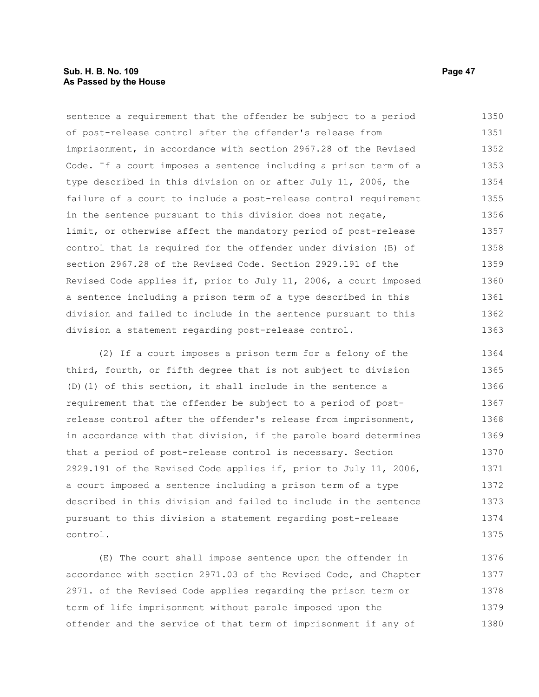# **Sub. H. B. No. 109 Page 47 As Passed by the House**

sentence a requirement that the offender be subject to a period of post-release control after the offender's release from imprisonment, in accordance with section 2967.28 of the Revised Code. If a court imposes a sentence including a prison term of a type described in this division on or after July 11, 2006, the failure of a court to include a post-release control requirement in the sentence pursuant to this division does not negate, limit, or otherwise affect the mandatory period of post-release control that is required for the offender under division (B) of section 2967.28 of the Revised Code. Section 2929.191 of the Revised Code applies if, prior to July 11, 2006, a court imposed a sentence including a prison term of a type described in this division and failed to include in the sentence pursuant to this division a statement regarding post-release control. 1350 1351 1352 1353 1354 1355 1356 1357 1358 1359 1360 1361 1362 1363

(2) If a court imposes a prison term for a felony of the third, fourth, or fifth degree that is not subject to division (D)(1) of this section, it shall include in the sentence a requirement that the offender be subject to a period of postrelease control after the offender's release from imprisonment, in accordance with that division, if the parole board determines that a period of post-release control is necessary. Section 2929.191 of the Revised Code applies if, prior to July 11, 2006, a court imposed a sentence including a prison term of a type described in this division and failed to include in the sentence pursuant to this division a statement regarding post-release control. 1364 1365 1366 1367 1368 1369 1370 1371 1372 1373 1374 1375

(E) The court shall impose sentence upon the offender in accordance with section 2971.03 of the Revised Code, and Chapter 2971. of the Revised Code applies regarding the prison term or term of life imprisonment without parole imposed upon the offender and the service of that term of imprisonment if any of 1376 1377 1378 1379 1380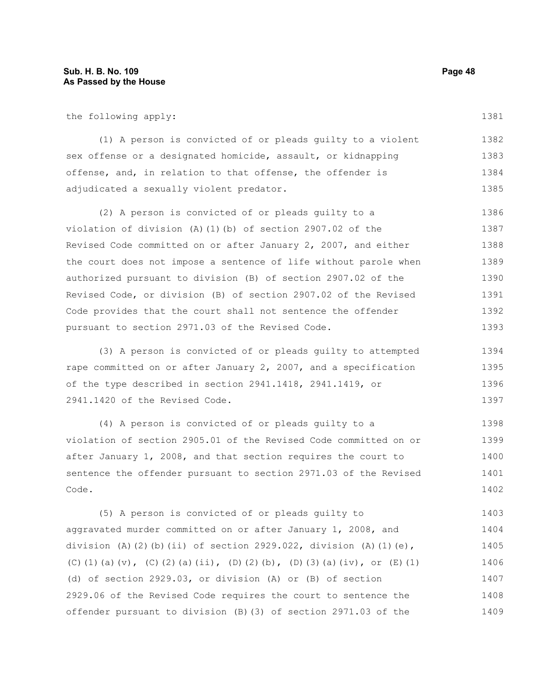the following apply:

(1) A person is convicted of or pleads guilty to a violent sex offense or a designated homicide, assault, or kidnapping offense, and, in relation to that offense, the offender is adjudicated a sexually violent predator. 1382 1383 1384 1385

(2) A person is convicted of or pleads guilty to a violation of division (A)(1)(b) of section 2907.02 of the Revised Code committed on or after January 2, 2007, and either the court does not impose a sentence of life without parole when authorized pursuant to division (B) of section 2907.02 of the Revised Code, or division (B) of section 2907.02 of the Revised Code provides that the court shall not sentence the offender pursuant to section 2971.03 of the Revised Code. 1386 1387 1388 1389 1390 1391 1392 1393

(3) A person is convicted of or pleads guilty to attempted rape committed on or after January 2, 2007, and a specification of the type described in section 2941.1418, 2941.1419, or 2941.1420 of the Revised Code. 1394 1395 1396 1397

(4) A person is convicted of or pleads guilty to a violation of section 2905.01 of the Revised Code committed on or after January 1, 2008, and that section requires the court to sentence the offender pursuant to section 2971.03 of the Revised Code. 1398 1399 1400 1401 1402

(5) A person is convicted of or pleads guilty to aggravated murder committed on or after January 1, 2008, and division (A)(2)(b)(ii) of section 2929.022, division (A)(1)(e), (C)(1)(a)(v), (C)(2)(a)(ii), (D)(2)(b), (D)(3)(a)(iv), or (E)(1) (d) of section 2929.03, or division (A) or (B) of section 2929.06 of the Revised Code requires the court to sentence the offender pursuant to division (B)(3) of section 2971.03 of the 1403 1404 1405 1406 1407 1408 1409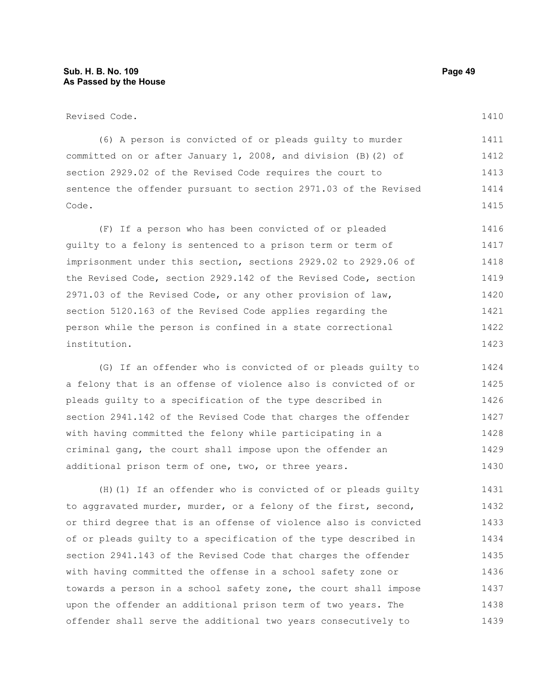(6) A person is convicted of or pleads guilty to murder committed on or after January 1, 2008, and division (B)(2) of section 2929.02 of the Revised Code requires the court to sentence the offender pursuant to section 2971.03 of the Revised Code. 1411 1412 1413 1414 1415

(F) If a person who has been convicted of or pleaded guilty to a felony is sentenced to a prison term or term of imprisonment under this section, sections 2929.02 to 2929.06 of the Revised Code, section 2929.142 of the Revised Code, section 2971.03 of the Revised Code, or any other provision of law, section 5120.163 of the Revised Code applies regarding the person while the person is confined in a state correctional institution. 1416 1417 1418 1419 1420 1421 1422 1423

(G) If an offender who is convicted of or pleads guilty to a felony that is an offense of violence also is convicted of or pleads guilty to a specification of the type described in section 2941.142 of the Revised Code that charges the offender with having committed the felony while participating in a criminal gang, the court shall impose upon the offender an additional prison term of one, two, or three years. 1424 1425 1426 1427 1428 1429 1430

(H)(1) If an offender who is convicted of or pleads guilty to aggravated murder, murder, or a felony of the first, second, or third degree that is an offense of violence also is convicted of or pleads guilty to a specification of the type described in section 2941.143 of the Revised Code that charges the offender with having committed the offense in a school safety zone or towards a person in a school safety zone, the court shall impose upon the offender an additional prison term of two years. The offender shall serve the additional two years consecutively to 1431 1432 1433 1434 1435 1436 1437 1438 1439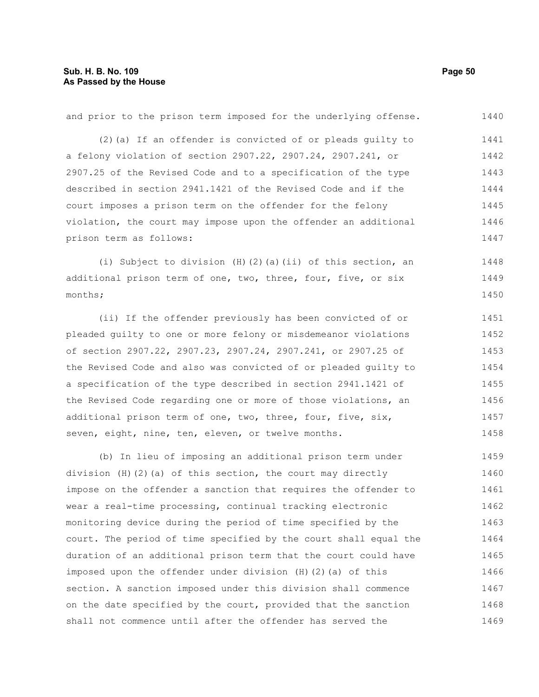and prior to the prison term imposed for the underlying offense. (2)(a) If an offender is convicted of or pleads guilty to a felony violation of section 2907.22, 2907.24, 2907.241, or 2907.25 of the Revised Code and to a specification of the type described in section 2941.1421 of the Revised Code and if the court imposes a prison term on the offender for the felony violation, the court may impose upon the offender an additional prison term as follows: (i) Subject to division (H)(2)(a)(ii) of this section, an additional prison term of one, two, three, four, five, or six months; (ii) If the offender previously has been convicted of or pleaded guilty to one or more felony or misdemeanor violations of section 2907.22, 2907.23, 2907.24, 2907.241, or 2907.25 of the Revised Code and also was convicted of or pleaded guilty to a specification of the type described in section 2941.1421 of the Revised Code regarding one or more of those violations, an additional prison term of one, two, three, four, five, six, seven, eight, nine, ten, eleven, or twelve months. (b) In lieu of imposing an additional prison term under division (H)(2)(a) of this section, the court may directly impose on the offender a sanction that requires the offender to wear a real-time processing, continual tracking electronic 1440 1441 1442 1443 1444 1445 1446 1447 1448 1449 1450 1451 1452 1453 1454 1455 1456 1457 1458 1459 1460 1461 1462

monitoring device during the period of time specified by the court. The period of time specified by the court shall equal the duration of an additional prison term that the court could have imposed upon the offender under division (H)(2)(a) of this section. A sanction imposed under this division shall commence on the date specified by the court, provided that the sanction shall not commence until after the offender has served the 1463 1464 1465 1466 1467 1468 1469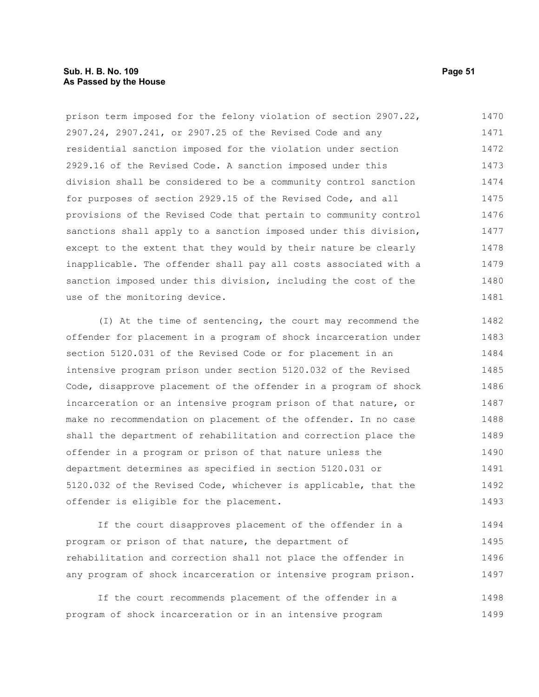# **Sub. H. B. No. 109 Page 51 As Passed by the House**

prison term imposed for the felony violation of section 2907.22, 2907.24, 2907.241, or 2907.25 of the Revised Code and any residential sanction imposed for the violation under section 2929.16 of the Revised Code. A sanction imposed under this division shall be considered to be a community control sanction for purposes of section 2929.15 of the Revised Code, and all provisions of the Revised Code that pertain to community control sanctions shall apply to a sanction imposed under this division, except to the extent that they would by their nature be clearly inapplicable. The offender shall pay all costs associated with a sanction imposed under this division, including the cost of the use of the monitoring device. 1470 1471 1472 1473 1474 1475 1476 1477 1478 1479 1480 1481

(I) At the time of sentencing, the court may recommend the offender for placement in a program of shock incarceration under section 5120.031 of the Revised Code or for placement in an intensive program prison under section 5120.032 of the Revised Code, disapprove placement of the offender in a program of shock incarceration or an intensive program prison of that nature, or make no recommendation on placement of the offender. In no case shall the department of rehabilitation and correction place the offender in a program or prison of that nature unless the department determines as specified in section 5120.031 or 5120.032 of the Revised Code, whichever is applicable, that the offender is eligible for the placement. 1482 1483 1484 1485 1486 1487 1488 1489 1490 1491 1492 1493

If the court disapproves placement of the offender in a program or prison of that nature, the department of rehabilitation and correction shall not place the offender in any program of shock incarceration or intensive program prison. 1494 1495 1496 1497

If the court recommends placement of the offender in a program of shock incarceration or in an intensive program 1498 1499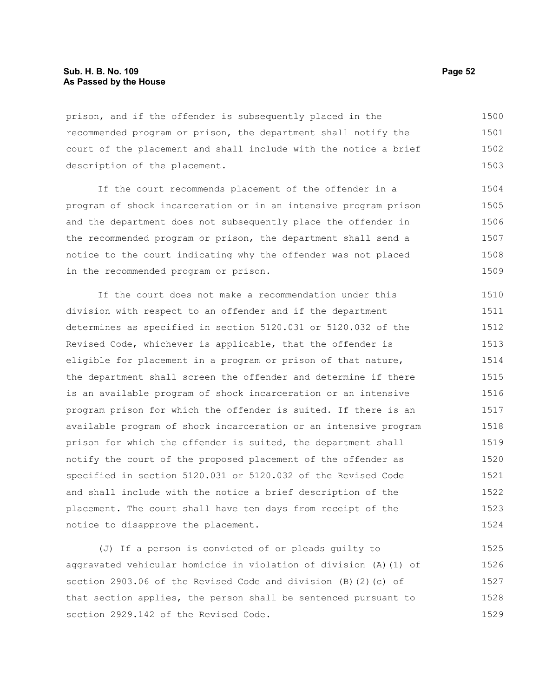prison, and if the offender is subsequently placed in the recommended program or prison, the department shall notify the court of the placement and shall include with the notice a brief description of the placement. 1500 1501 1502 1503

If the court recommends placement of the offender in a program of shock incarceration or in an intensive program prison and the department does not subsequently place the offender in the recommended program or prison, the department shall send a notice to the court indicating why the offender was not placed in the recommended program or prison. 1504 1505 1506 1507 1508 1509

If the court does not make a recommendation under this division with respect to an offender and if the department determines as specified in section 5120.031 or 5120.032 of the Revised Code, whichever is applicable, that the offender is eligible for placement in a program or prison of that nature, the department shall screen the offender and determine if there is an available program of shock incarceration or an intensive program prison for which the offender is suited. If there is an available program of shock incarceration or an intensive program prison for which the offender is suited, the department shall notify the court of the proposed placement of the offender as specified in section 5120.031 or 5120.032 of the Revised Code and shall include with the notice a brief description of the placement. The court shall have ten days from receipt of the notice to disapprove the placement. 1510 1511 1512 1513 1514 1515 1516 1517 1518 1519 1520 1521 1522 1523 1524

(J) If a person is convicted of or pleads guilty to aggravated vehicular homicide in violation of division (A)(1) of section 2903.06 of the Revised Code and division (B)(2)(c) of that section applies, the person shall be sentenced pursuant to section 2929.142 of the Revised Code. 1525 1526 1527 1528 1529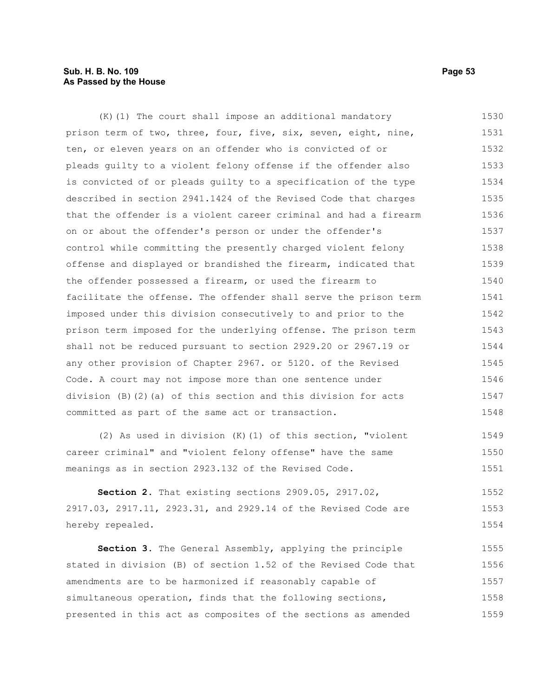# **Sub. H. B. No. 109 Page 53 As Passed by the House**

(K)(1) The court shall impose an additional mandatory prison term of two, three, four, five, six, seven, eight, nine, ten, or eleven years on an offender who is convicted of or pleads guilty to a violent felony offense if the offender also is convicted of or pleads guilty to a specification of the type described in section 2941.1424 of the Revised Code that charges that the offender is a violent career criminal and had a firearm on or about the offender's person or under the offender's control while committing the presently charged violent felony offense and displayed or brandished the firearm, indicated that the offender possessed a firearm, or used the firearm to facilitate the offense. The offender shall serve the prison term imposed under this division consecutively to and prior to the prison term imposed for the underlying offense. The prison term shall not be reduced pursuant to section 2929.20 or 2967.19 or any other provision of Chapter 2967. or 5120. of the Revised Code. A court may not impose more than one sentence under division (B)(2)(a) of this section and this division for acts committed as part of the same act or transaction. (2) As used in division (K)(1) of this section, "violent career criminal" and "violent felony offense" have the same meanings as in section 2923.132 of the Revised Code. 1530 1531 1532 1533 1534 1535 1536 1537 1538 1539 1540 1541 1542 1543 1544 1545 1546 1547 1548 1549 1550 1551

**Section 2.** That existing sections 2909.05, 2917.02, 2917.03, 2917.11, 2923.31, and 2929.14 of the Revised Code are hereby repealed. 1552 1553 1554

**Section 3.** The General Assembly, applying the principle stated in division (B) of section 1.52 of the Revised Code that amendments are to be harmonized if reasonably capable of simultaneous operation, finds that the following sections, presented in this act as composites of the sections as amended 1555 1556 1557 1558 1559